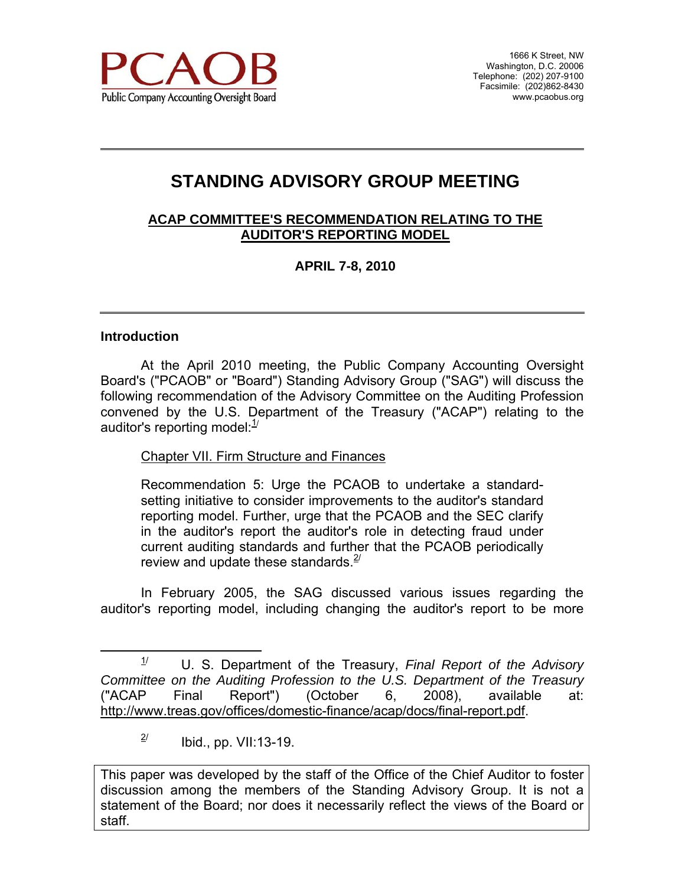

# **STANDING ADVISORY GROUP MEETING**

#### **ACAP COMMITTEE'S RECOMMENDATION RELATING TO THE AUDITOR'S REPORTING MODEL**

#### **APRIL 7-8, 2010**

#### **Introduction**

At the April 2010 meeting, the Public Company Accounting Oversight Board's ("PCAOB" or "Board") Standing Advisory Group ("SAG") will discuss the following recommendation of the Advisory Committee on the Auditing Profession convened by the U.S. Department of the Treasury ("ACAP") relating to the auditor's reporting model: $1/1$ 

#### Chapter VII. Firm Structure and Finances

Recommendation 5: Urge the PCAOB to undertake a standardsetting initiative to consider improvements to the auditor's standard reporting model. Further, urge that the PCAOB and the SEC clarify in the auditor's report the auditor's role in detecting fraud under current auditing standards and further that the PCAOB periodically review and update these standards. $\frac{2}{3}$ 

In February 2005, the SAG discussed various issues regarding the auditor's reporting model, including changing the auditor's report to be more

 $2/$ Ibid., pp. VII:13-19.

This paper was developed by the staff of the Office of the Chief Auditor to foster discussion among the members of the Standing Advisory Group. It is not a statement of the Board; nor does it necessarily reflect the views of the Board or staff.

 <sup>1/</sup> U. S. Department of the Treasury, *Final Report of the Advisory Committee on the Auditing Profession to the U.S. Department of the Treasury*  ("ACAP Final Report") (October 6, 2008), available at: http://www.treas.gov/offices/domestic-finance/acap/docs/final-report.pdf.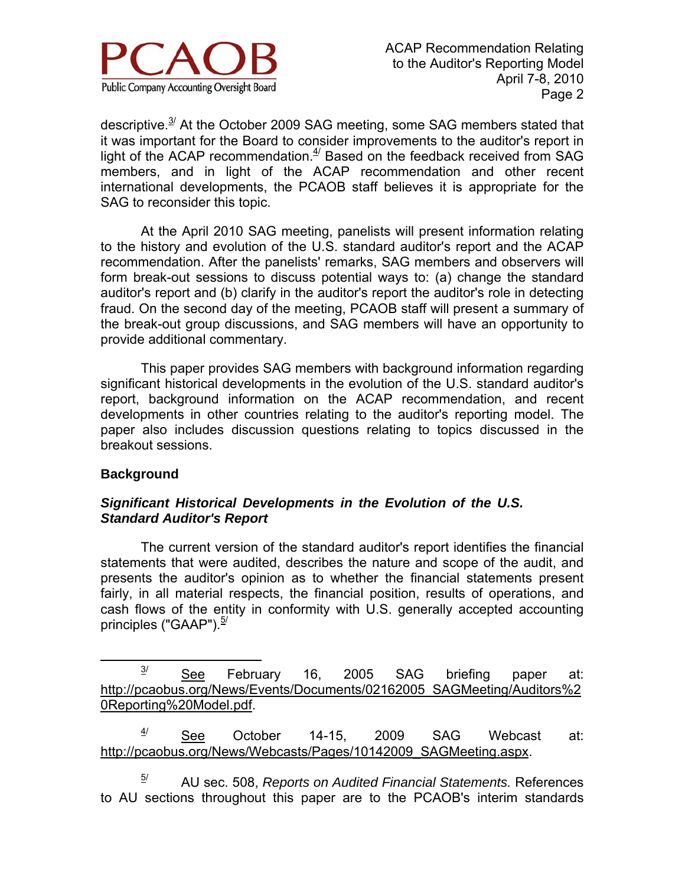

descriptive.<sup>3/</sup> At the October 2009 SAG meeting, some SAG members stated that it was important for the Board to consider improvements to the auditor's report in light of the ACAP recommendation. $4/$  Based on the feedback received from SAG members, and in light of the ACAP recommendation and other recent international developments, the PCAOB staff believes it is appropriate for the SAG to reconsider this topic.

At the April 2010 SAG meeting, panelists will present information relating to the history and evolution of the U.S. standard auditor's report and the ACAP recommendation. After the panelists' remarks, SAG members and observers will form break-out sessions to discuss potential ways to: (a) change the standard auditor's report and (b) clarify in the auditor's report the auditor's role in detecting fraud. On the second day of the meeting, PCAOB staff will present a summary of the break-out group discussions, and SAG members will have an opportunity to provide additional commentary.

This paper provides SAG members with background information regarding significant historical developments in the evolution of the U.S. standard auditor's report, background information on the ACAP recommendation, and recent developments in other countries relating to the auditor's reporting model. The paper also includes discussion questions relating to topics discussed in the breakout sessions.

#### **Background**

#### *Significant Historical Developments in the Evolution of the U.S. Standard Auditor's Report*

The current version of the standard auditor's report identifies the financial statements that were audited, describes the nature and scope of the audit, and presents the auditor's opinion as to whether the financial statements present fairly, in all material respects, the financial position, results of operations, and cash flows of the entity in conformity with U.S. generally accepted accounting principles ("GAAP").<sup>5/</sup>

4/ See October 14-15, 2009 SAG Webcast at: http://pcaobus.org/News/Webcasts/Pages/10142009\_SAGMeeting.aspx.

5/ AU sec. 508, *Reports on Audited Financial Statements.* References to AU sections throughout this paper are to the PCAOB's interim standards

 $\frac{3}{}$  $\frac{3}{2}$  See February 16, 2005 SAG briefing paper at: http://pcaobus.org/News/Events/Documents/02162005\_SAGMeeting/Auditors%2 0Reporting%20Model.pdf.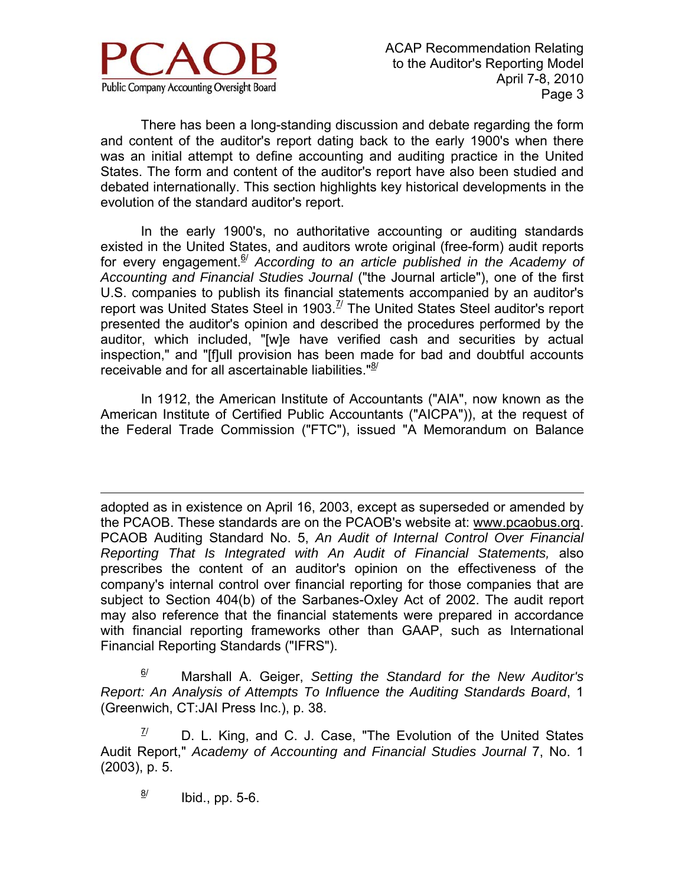

There has been a long-standing discussion and debate regarding the form and content of the auditor's report dating back to the early 1900's when there was an initial attempt to define accounting and auditing practice in the United States. The form and content of the auditor's report have also been studied and debated internationally. This section highlights key historical developments in the evolution of the standard auditor's report.

In the early 1900's, no authoritative accounting or auditing standards existed in the United States, and auditors wrote original (free-form) audit reports for every engagement.<sup>6/</sup> According to an article published in the Academy of *Accounting and Financial Studies Journal* ("the Journal article"), one of the first U.S. companies to publish its financial statements accompanied by an auditor's report was United States Steel in 1903. $^{7}$  The United States Steel auditor's report presented the auditor's opinion and described the procedures performed by the auditor, which included, "[w]e have verified cash and securities by actual inspection," and "[f]ull provision has been made for bad and doubtful accounts receivable and for all ascertainable liabilities."8/

In 1912, the American Institute of Accountants ("AIA", now known as the American Institute of Certified Public Accountants ("AICPA")), at the request of the Federal Trade Commission ("FTC"), issued "A Memorandum on Balance

adopted as in existence on April 16, 2003, except as superseded or amended by the PCAOB. These standards are on the PCAOB's website at: www.pcaobus.org. PCAOB Auditing Standard No. 5, *An Audit of Internal Control Over Financial Reporting That Is Integrated with An Audit of Financial Statements,* also prescribes the content of an auditor's opinion on the effectiveness of the company's internal control over financial reporting for those companies that are subject to Section 404(b) of the Sarbanes-Oxley Act of 2002. The audit report may also reference that the financial statements were prepared in accordance with financial reporting frameworks other than GAAP, such as International Financial Reporting Standards ("IFRS").

6/ Marshall A. Geiger, *Setting the Standard for the New Auditor's Report: An Analysis of Attempts To Influence the Auditing Standards Board*, 1 (Greenwich, CT:JAI Press Inc.), p. 38.

 $\frac{7}{1}$  D. L. King, and C. J. Case, "The Evolution of the United States Audit Report," *Academy of Accounting and Financial Studies Journal* 7, No. 1 (2003), p. 5.

 $\frac{8}{}{ }$  Ibid., pp. 5-6.

 $\overline{a}$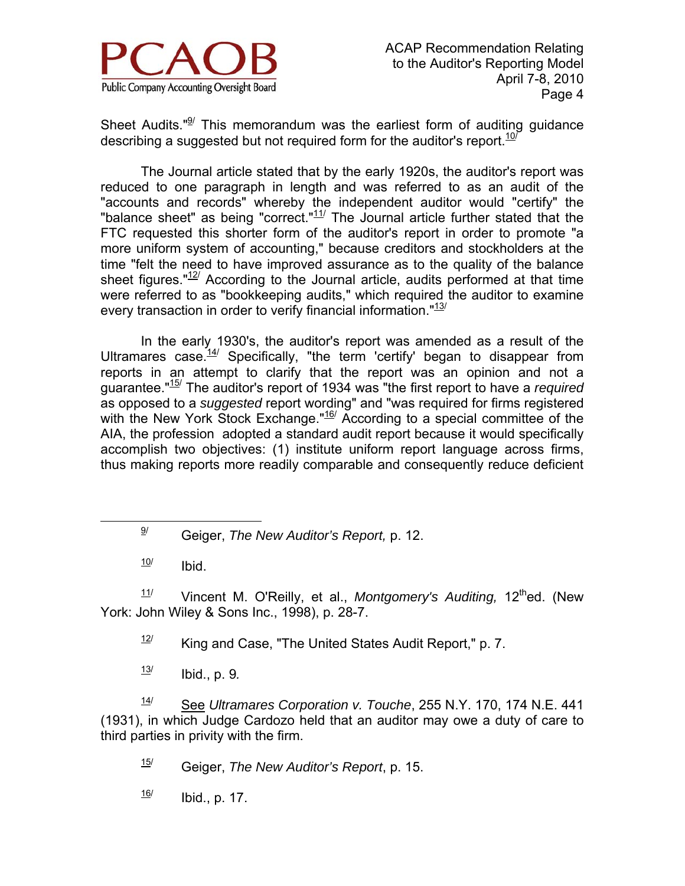

Sheet Audits."<sup>9</sup> This memorandum was the earliest form of auditing guidance describing a suggested but not required form for the auditor's report. $10^{\gamma}$ 

The Journal article stated that by the early 1920s, the auditor's report was reduced to one paragraph in length and was referred to as an audit of the "accounts and records" whereby the independent auditor would "certify" the "balance sheet" as being "correct." $11/2$  The Journal article further stated that the FTC requested this shorter form of the auditor's report in order to promote "a more uniform system of accounting," because creditors and stockholders at the time "felt the need to have improved assurance as to the quality of the balance sheet figures." $12$ <sup>t</sup> According to the Journal article, audits performed at that time were referred to as "bookkeeping audits," which required the auditor to examine every transaction in order to verify financial information."<sup>13/</sup>

In the early 1930's, the auditor's report was amended as a result of the Ultramares case.<sup>14/</sup> Specifically, "the term 'certify' began to disappear from reports in an attempt to clarify that the report was an opinion and not a guarantee."15/ The auditor's report of 1934 was "the first report to have a *required* as opposed to a *suggested* report wording" and "was required for firms registered with the New York Stock Exchange."<sup>16/</sup> According to a special committee of the AIA, the profession adopted a standard audit report because it would specifically accomplish two objectives: (1) institute uniform report language across firms, thus making reports more readily comparable and consequently reduce deficient

 $\frac{9}{2}$ Geiger, *The New Auditor's Report,* p. 12.

> $10/$ Ibid.

11/ Vincent M. O'Reilly, et al., *Montgomery's Auditing, 12<sup>th</sup>ed.* (New York: John Wiley & Sons Inc., 1998), p. 28-7.

12/ King and Case, "The United States Audit Report," p. 7.

13/ Ibid., p. 9*.*

14/ See *Ultramares Corporation v. Touche*, 255 N.Y. 170, 174 N.E. 441 (1931), in which Judge Cardozo held that an auditor may owe a duty of care to third parties in privity with the firm.

15/ Geiger, *The New Auditor's Report*, p. 15.

16/ Ibid., p. 17.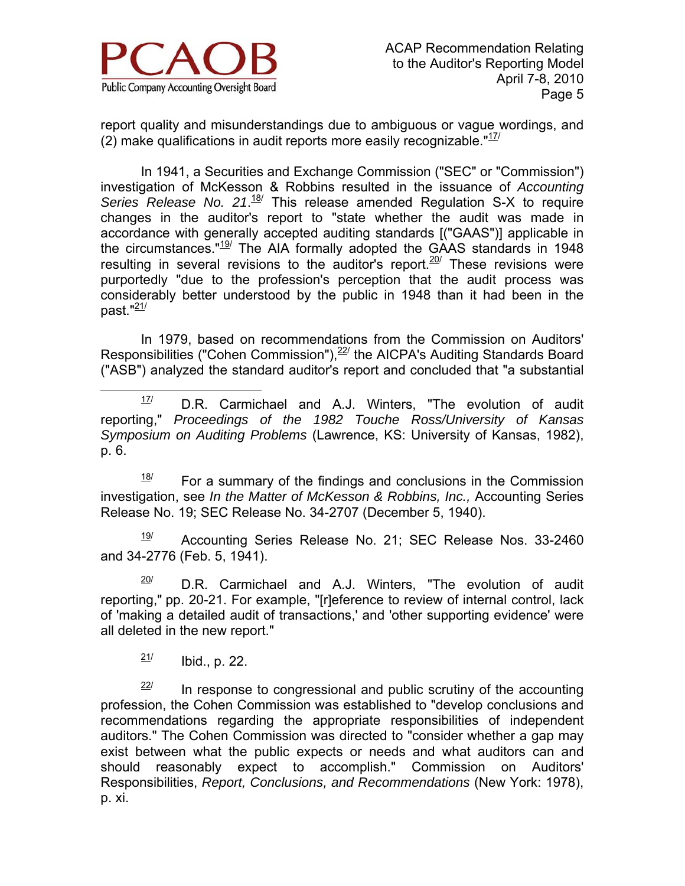

report quality and misunderstandings due to ambiguous or vague wordings, and (2) make qualifications in audit reports more easily recognizable." $17/$ 

In 1941, a Securities and Exchange Commission ("SEC" or "Commission") investigation of McKesson & Robbins resulted in the issuance of *Accounting*  Series Release No. 21.<sup>18/</sup> This release amended Regulation S-X to require changes in the auditor's report to "state whether the audit was made in accordance with generally accepted auditing standards [("GAAS")] applicable in the circumstances."<sup>19</sup> The AIA formally adopted the GAAS standards in 1948 resulting in several revisions to the auditor's report.<sup>20/</sup> These revisions were purportedly "due to the profession's perception that the audit process was considerably better understood by the public in 1948 than it had been in the past."<del><sup>21/</sup></del>

In 1979, based on recommendations from the Commission on Auditors' Responsibilities ("Cohen Commission"), $22/$  the AICPA's Auditing Standards Board ("ASB") analyzed the standard auditor's report and concluded that "a substantial

 17/ D.R. Carmichael and A.J. Winters, "The evolution of audit reporting," *Proceedings of the 1982 Touche Ross/University of Kansas Symposium on Auditing Problems* (Lawrence, KS: University of Kansas, 1982), p. 6.

 18/ For a summary of the findings and conclusions in the Commission investigation, see *In the Matter of McKesson & Robbins, Inc.,* Accounting Series Release No. 19; SEC Release No. 34-2707 (December 5, 1940).

19/ Accounting Series Release No. 21; SEC Release Nos. 33-2460 and 34-2776 (Feb. 5, 1941).

20/ D.R. Carmichael and A.J. Winters, "The evolution of audit reporting," pp. 20-21. For example, "[r]eference to review of internal control, lack of 'making a detailed audit of transactions,' and 'other supporting evidence' were all deleted in the new report."

21/ Ibid., p. 22.

22/ In response to congressional and public scrutiny of the accounting profession, the Cohen Commission was established to "develop conclusions and recommendations regarding the appropriate responsibilities of independent auditors." The Cohen Commission was directed to "consider whether a gap may exist between what the public expects or needs and what auditors can and should reasonably expect to accomplish." Commission on Auditors' Responsibilities, *Report, Conclusions, and Recommendations* (New York: 1978), p. xi.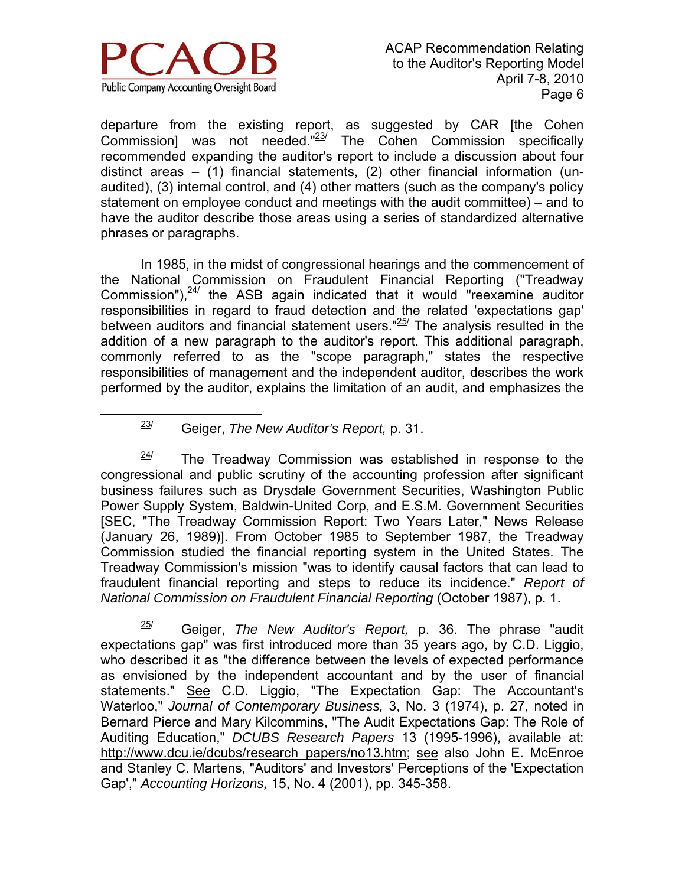

departure from the existing report, as suggested by CAR [the Cohen Commission] was not needed."<sup>23/</sup> The Cohen Commission specifically recommended expanding the auditor's report to include a discussion about four distinct areas – (1) financial statements, (2) other financial information (unaudited), (3) internal control, and (4) other matters (such as the company's policy statement on employee conduct and meetings with the audit committee) – and to have the auditor describe those areas using a series of standardized alternative phrases or paragraphs.

In 1985, in the midst of congressional hearings and the commencement of the National Commission on Fraudulent Financial Reporting ("Treadway Commission"), $24$  the ASB again indicated that it would "reexamine auditor responsibilities in regard to fraud detection and the related 'expectations gap' between auditors and financial statement users."<sup>25/</sup> The analysis resulted in the addition of a new paragraph to the auditor's report. This additional paragraph, commonly referred to as the "scope paragraph," states the respective responsibilities of management and the independent auditor, describes the work performed by the auditor, explains the limitation of an audit, and emphasizes the

24/ The Treadway Commission was established in response to the congressional and public scrutiny of the accounting profession after significant business failures such as Drysdale Government Securities, Washington Public Power Supply System, Baldwin-United Corp, and E.S.M. Government Securities [SEC, "The Treadway Commission Report: Two Years Later," News Release (January 26, 1989)]. From October 1985 to September 1987, the Treadway Commission studied the financial reporting system in the United States. The Treadway Commission's mission "was to identify causal factors that can lead to fraudulent financial reporting and steps to reduce its incidence." *Report of National Commission on Fraudulent Financial Reporting* (October 1987), p. 1.

25/ Geiger, *The New Auditor's Report,* p. 36. The phrase "audit expectations gap" was first introduced more than 35 years ago, by C.D. Liggio, who described it as "the difference between the levels of expected performance as envisioned by the independent accountant and by the user of financial statements." See C.D. Liggio, "The Expectation Gap: The Accountant's Waterloo," *Journal of Contemporary Business,* 3, No. 3 (1974), p. 27, noted in Bernard Pierce and Mary Kilcommins, "The Audit Expectations Gap: The Role of Auditing Education," *DCUBS Research Papers* 13 (1995-1996), available at: http://www.dcu.ie/dcubs/research\_papers/no13.htm; see also John E. McEnroe and Stanley C. Martens, "Auditors' and Investors' Perceptions of the 'Expectation Gap'," *Accounting Horizons,* 15, No. 4 (2001), pp. 345-358.

 <sup>23/</sup> Geiger, *The New Auditor's Report,* p. 31.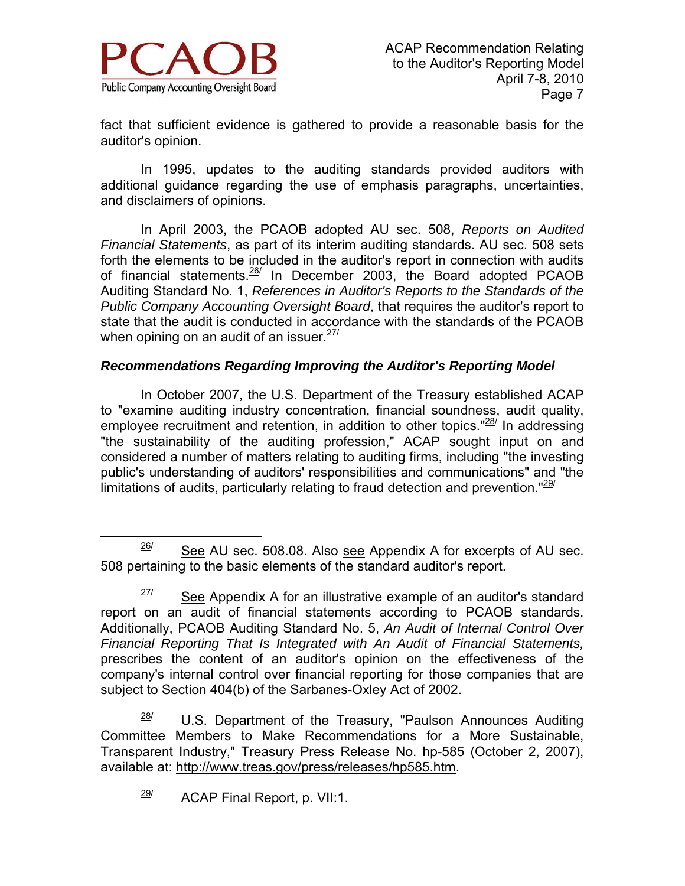

fact that sufficient evidence is gathered to provide a reasonable basis for the auditor's opinion.

In 1995, updates to the auditing standards provided auditors with additional guidance regarding the use of emphasis paragraphs, uncertainties, and disclaimers of opinions.

In April 2003, the PCAOB adopted AU sec. 508, *Reports on Audited Financial Statements*, as part of its interim auditing standards. AU sec. 508 sets forth the elements to be included in the auditor's report in connection with audits of financial statements. $26/$  In December 2003, the Board adopted PCAOB Auditing Standard No. 1, *References in Auditor's Reports to the Standards of the Public Company Accounting Oversight Board*, that requires the auditor's report to state that the audit is conducted in accordance with the standards of the PCAOB when opining on an audit of an issuer. $27/2$ 

#### *Recommendations Regarding Improving the Auditor's Reporting Model*

In October 2007, the U.S. Department of the Treasury established ACAP to "examine auditing industry concentration, financial soundness, audit quality, employee recruitment and retention, in addition to other topics."<sup>28/</sup> In addressing "the sustainability of the auditing profession," ACAP sought input on and considered a number of matters relating to auditing firms, including "the investing public's understanding of auditors' responsibilities and communications" and "the limitations of audits, particularly relating to fraud detection and prevention." $^{29'}$ 

28/ U.S. Department of the Treasury, "Paulson Announces Auditing Committee Members to Make Recommendations for a More Sustainable, Transparent Industry," Treasury Press Release No. hp-585 (October 2, 2007), available at: http://www.treas.gov/press/releases/hp585.htm.

29/ ACAP Final Report, p. VII:1.

 <sup>26/</sup> See AU sec. 508.08. Also see Appendix A for excerpts of AU sec. 508 pertaining to the basic elements of the standard auditor's report.

<sup>27/</sup> See Appendix A for an illustrative example of an auditor's standard report on an audit of financial statements according to PCAOB standards. Additionally, PCAOB Auditing Standard No. 5, *An Audit of Internal Control Over Financial Reporting That Is Integrated with An Audit of Financial Statements,*  prescribes the content of an auditor's opinion on the effectiveness of the company's internal control over financial reporting for those companies that are subject to Section 404(b) of the Sarbanes-Oxley Act of 2002.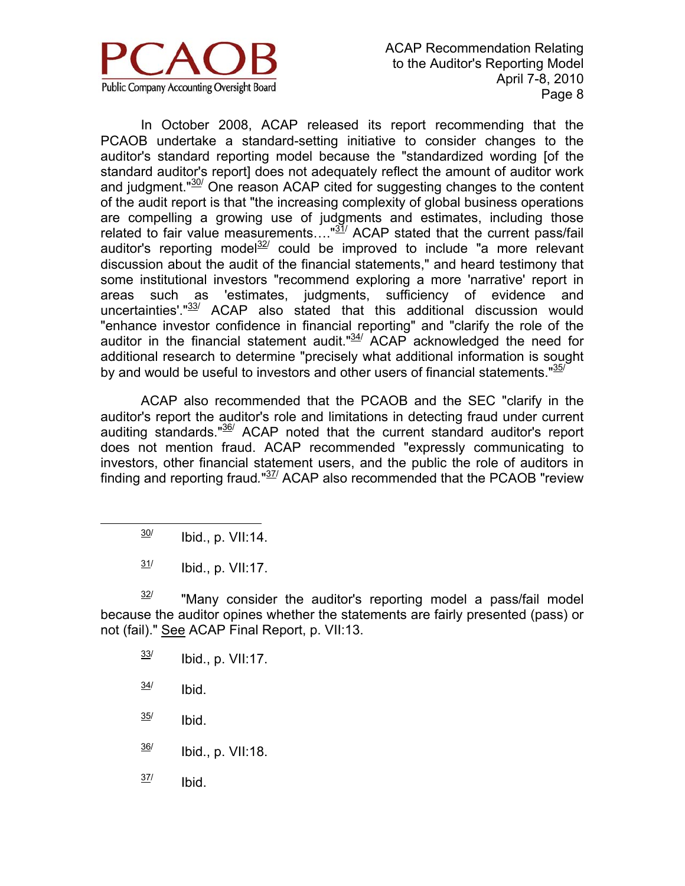

In October 2008, ACAP released its report recommending that the PCAOB undertake a standard-setting initiative to consider changes to the auditor's standard reporting model because the "standardized wording [of the standard auditor's report] does not adequately reflect the amount of auditor work and judgment."<sup>30/</sup> One reason ACAP cited for suggesting changes to the content of the audit report is that "the increasing complexity of global business operations are compelling a growing use of judgments and estimates, including those related to fair value measurements...." $\frac{31}{1}$  ACAP stated that the current pass/fail auditor's reporting model $32$  could be improved to include "a more relevant discussion about the audit of the financial statements," and heard testimony that some institutional investors "recommend exploring a more 'narrative' report in areas such as 'estimates, judgments, sufficiency of evidence and uncertainties'."<sup>33/</sup> ACAP also stated that this additional discussion would "enhance investor confidence in financial reporting" and "clarify the role of the auditor in the financial statement audit." $34/$  ACAP acknowledged the need for additional research to determine "precisely what additional information is sought by and would be useful to investors and other users of financial statements."<sup>35/"</sup>

ACAP also recommended that the PCAOB and the SEC "clarify in the auditor's report the auditor's role and limitations in detecting fraud under current auditing standards."<sup>36</sup>/ ACAP noted that the current standard auditor's report does not mention fraud. ACAP recommended "expressly communicating to investors, other financial statement users, and the public the role of auditors in finding and reporting fraud."<sup>37/</sup> ACAP also recommended that the PCAOB "review

 30/ Ibid., p. VII:14.

31/ Ibid., p. VII:17.

32/ "Many consider the auditor's reporting model a pass/fail model because the auditor opines whether the statements are fairly presented (pass) or not (fail)." See ACAP Final Report, p. VII:13.

- 33/ Ibid., p. VII:17.
- 34/ Ibid.
- 35/ Ibid.
- 36/ Ibid., p. VII:18.
- 37/ Ibid.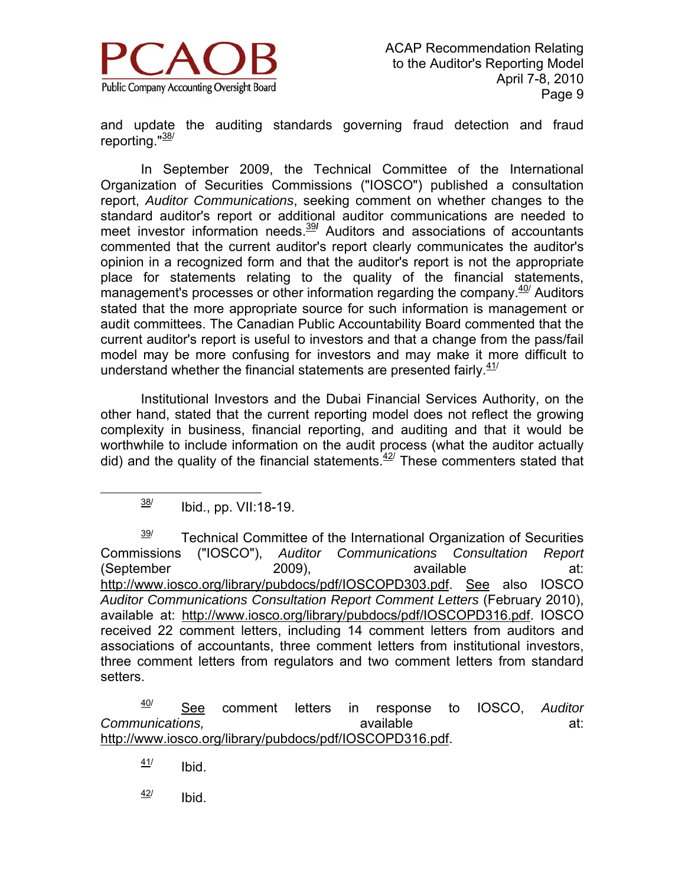

and update the auditing standards governing fraud detection and fraud reporting."<sup>38/</sup>

In September 2009, the Technical Committee of the International Organization of Securities Commissions ("IOSCO") published a consultation report, *Auditor Communications*, seeking comment on whether changes to the standard auditor's report or additional auditor communications are needed to meet investor information needs.<sup>39</sup>/ Auditors and associations of accountants commented that the current auditor's report clearly communicates the auditor's opinion in a recognized form and that the auditor's report is not the appropriate place for statements relating to the quality of the financial statements, management's processes or other information regarding the company. $40/$  Auditors stated that the more appropriate source for such information is management or audit committees. The Canadian Public Accountability Board commented that the current auditor's report is useful to investors and that a change from the pass/fail model may be more confusing for investors and may make it more difficult to understand whether the financial statements are presented fairly. $41/$ 

Institutional Investors and the Dubai Financial Services Authority, on the other hand, stated that the current reporting model does not reflect the growing complexity in business, financial reporting, and auditing and that it would be worthwhile to include information on the audit process (what the auditor actually did) and the quality of the financial statements. $42/$  These commenters stated that

 38/ Ibid., pp. VII:18-19.

39/ Technical Committee of the International Organization of Securities Commissions ("IOSCO"), *Auditor Communications Consultation Report* (September 2009), available at: http://www.iosco.org/library/pubdocs/pdf/IOSCOPD303.pdf. See also IOSCO *Auditor Communications Consultation Report Comment Letters* (February 2010), available at: http://www.iosco.org/library/pubdocs/pdf/IOSCOPD316.pdf. IOSCO received 22 comment letters, including 14 comment letters from auditors and associations of accountants, three comment letters from institutional investors, three comment letters from regulators and two comment letters from standard setters.

40/ See comment letters in response to IOSCO, *Auditor Communications,* available at: http://www.iosco.org/library/pubdocs/pdf/IOSCOPD316.pdf.

41/ Ibid.

42/ Ibid.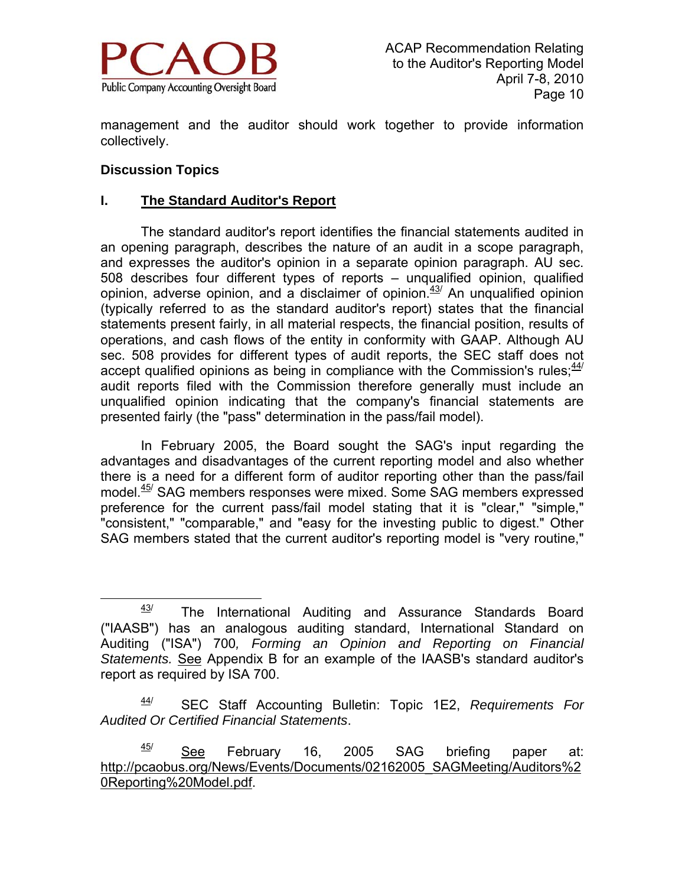

management and the auditor should work together to provide information collectively.

#### **Discussion Topics**

#### **I. The Standard Auditor's Report**

The standard auditor's report identifies the financial statements audited in an opening paragraph, describes the nature of an audit in a scope paragraph, and expresses the auditor's opinion in a separate opinion paragraph. AU sec. 508 describes four different types of reports – unqualified opinion, qualified opinion, adverse opinion, and a disclaimer of opinion. $43/$  An unqualified opinion (typically referred to as the standard auditor's report) states that the financial statements present fairly, in all material respects, the financial position, results of operations, and cash flows of the entity in conformity with GAAP. Although AU sec. 508 provides for different types of audit reports, the SEC staff does not accept qualified opinions as being in compliance with the Commission's rules: $44/$ audit reports filed with the Commission therefore generally must include an unqualified opinion indicating that the company's financial statements are presented fairly (the "pass" determination in the pass/fail model).

In February 2005, the Board sought the SAG's input regarding the advantages and disadvantages of the current reporting model and also whether there is a need for a different form of auditor reporting other than the pass/fail model.<sup>45/</sup> SAG members responses were mixed. Some SAG members expressed preference for the current pass/fail model stating that it is "clear," "simple," "consistent," "comparable," and "easy for the investing public to digest." Other SAG members stated that the current auditor's reporting model is "very routine,"

 <sup>43/</sup> The International Auditing and Assurance Standards Board ("IAASB") has an analogous auditing standard, International Standard on Auditing ("ISA") 700*, Forming an Opinion and Reporting on Financial Statements.* See Appendix B for an example of the IAASB's standard auditor's report as required by ISA 700.

<sup>44/</sup> SEC Staff Accounting Bulletin: Topic 1E2, *Requirements For Audited Or Certified Financial Statements*.

<sup>45/</sup> See February 16, 2005 SAG briefing paper at: http://pcaobus.org/News/Events/Documents/02162005\_SAGMeeting/Auditors%2 0Reporting%20Model.pdf.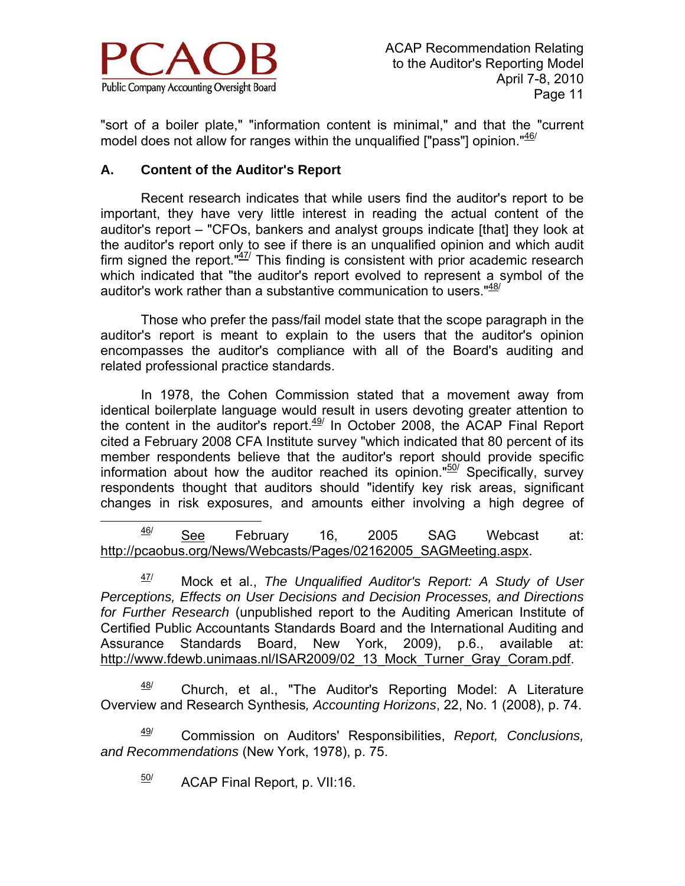

"sort of a boiler plate," "information content is minimal," and that the "current model does not allow for ranges within the unqualified ["pass"] opinion."<sup>46</sup>

#### **A. Content of the Auditor's Report**

Recent research indicates that while users find the auditor's report to be important, they have very little interest in reading the actual content of the auditor's report – "CFOs, bankers and analyst groups indicate [that] they look at the auditor's report only to see if there is an unqualified opinion and which audit firm signed the report." $47/$  This finding is consistent with prior academic research which indicated that "the auditor's report evolved to represent a symbol of the auditor's work rather than a substantive communication to users."<sup>48/</sup>

Those who prefer the pass/fail model state that the scope paragraph in the auditor's report is meant to explain to the users that the auditor's opinion encompasses the auditor's compliance with all of the Board's auditing and related professional practice standards.

In 1978, the Cohen Commission stated that a movement away from identical boilerplate language would result in users devoting greater attention to the content in the auditor's report. $49/$  In October 2008, the ACAP Final Report cited a February 2008 CFA Institute survey "which indicated that 80 percent of its member respondents believe that the auditor's report should provide specific information about how the auditor reached its opinion." $50/$  Specifically, survey respondents thought that auditors should "identify key risk areas, significant changes in risk exposures, and amounts either involving a high degree of

 46/ See February 16, 2005 SAG Webcast at: http://pcaobus.org/News/Webcasts/Pages/02162005\_SAGMeeting.aspx.

47/ Mock et al., *The Unqualified Auditor's Report: A Study of User Perceptions, Effects on User Decisions and Decision Processes, and Directions for Further Research* (unpublished report to the Auditing American Institute of Certified Public Accountants Standards Board and the International Auditing and Assurance Standards Board, New York, 2009), p.6., available at: http://www.fdewb.unimaas.nl/ISAR2009/02\_13\_Mock\_Turner\_Gray\_Coram.pdf.

48/ Church, et al., "The Auditor's Reporting Model: A Literature Overview and Research Synthesis*, Accounting Horizons*, 22, No. 1 (2008), p. 74.

49/ Commission on Auditors' Responsibilities, *Report, Conclusions, and Recommendations* (New York, 1978), p. 75.

50/ ACAP Final Report, p. VII:16.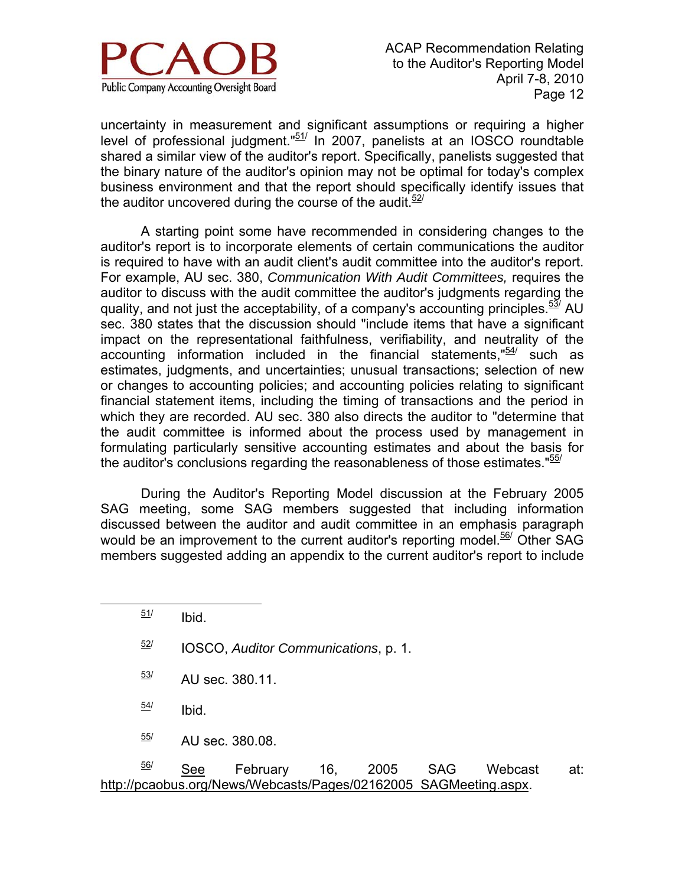

uncertainty in measurement and significant assumptions or requiring a higher level of professional judgment."<sup>51/</sup> In 2007, panelists at an IOSCO roundtable shared a similar view of the auditor's report. Specifically, panelists suggested that the binary nature of the auditor's opinion may not be optimal for today's complex business environment and that the report should specifically identify issues that the auditor uncovered during the course of the audit.  $52$ /

A starting point some have recommended in considering changes to the auditor's report is to incorporate elements of certain communications the auditor is required to have with an audit client's audit committee into the auditor's report. For example, AU sec. 380, *Communication With Audit Committees,* requires the auditor to discuss with the audit committee the auditor's judgments regarding the quality, and not just the acceptability, of a company's accounting principles.<sup>53</sup>/AU sec. 380 states that the discussion should "include items that have a significant impact on the representational faithfulness, verifiability, and neutrality of the accounting information included in the financial statements, ${}^{154}$  such as estimates, judgments, and uncertainties; unusual transactions; selection of new or changes to accounting policies; and accounting policies relating to significant financial statement items, including the timing of transactions and the period in which they are recorded. AU sec. 380 also directs the auditor to "determine that the audit committee is informed about the process used by management in formulating particularly sensitive accounting estimates and about the basis for the auditor's conclusions regarding the reasonableness of those estimates." $55/$ 

During the Auditor's Reporting Model discussion at the February 2005 SAG meeting, some SAG members suggested that including information discussed between the auditor and audit committee in an emphasis paragraph would be an improvement to the current auditor's reporting model.<sup>56/</sup> Other SAG members suggested adding an appendix to the current auditor's report to include

 51/ Ibid. 52/ IOSCO, *Auditor Communications*, p. 1. 53/ AU sec. 380.11. 54/ Ibid.  $\frac{55}{1}$  AU sec. 380.08. 56/ See February 16, 2005 SAG Webcast at: http://pcaobus.org/News/Webcasts/Pages/02162005\_SAGMeeting.aspx.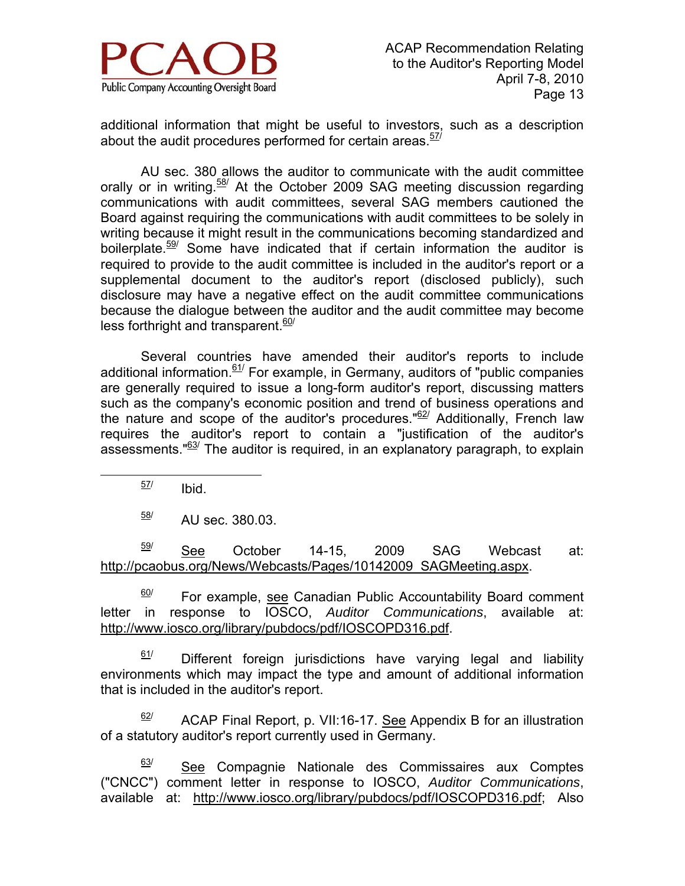

additional information that might be useful to investors, such as a description about the audit procedures performed for certain areas.<sup>57/</sup>

AU sec. 380 allows the auditor to communicate with the audit committee orally or in writing.<sup>58/</sup> At the October 2009 SAG meeting discussion regarding communications with audit committees, several SAG members cautioned the Board against requiring the communications with audit committees to be solely in writing because it might result in the communications becoming standardized and boilerplate.<sup>59/</sup> Some have indicated that if certain information the auditor is required to provide to the audit committee is included in the auditor's report or a supplemental document to the auditor's report (disclosed publicly), such disclosure may have a negative effect on the audit committee communications because the dialogue between the auditor and the audit committee may become less forthright and transparent.<sup>60/</sup>

Several countries have amended their auditor's reports to include additional information.<sup>61/</sup> For example, in Germany, auditors of "public companies are generally required to issue a long-form auditor's report, discussing matters such as the company's economic position and trend of business operations and the nature and scope of the auditor's procedures."<sup>62/</sup> Additionally, French law requires the auditor's report to contain a "justification of the auditor's assessments."<sup>63/</sup> The auditor is required, in an explanatory paragraph, to explain

 57/ Ibid.

58/ AU sec. 380.03.

59/ See October 14-15, 2009 SAG Webcast at: http://pcaobus.org/News/Webcasts/Pages/10142009\_SAGMeeting.aspx.

60/ For example, see Canadian Public Accountability Board comment letter in response to IOSCO, *Auditor Communications*, available at: http://www.iosco.org/library/pubdocs/pdf/IOSCOPD316.pdf.

61/ Different foreign jurisdictions have varying legal and liability environments which may impact the type and amount of additional information that is included in the auditor's report.

62/ ACAP Final Report, p. VII:16-17. See Appendix B for an illustration of a statutory auditor's report currently used in Germany.

63/ See Compagnie Nationale des Commissaires aux Comptes ("CNCC") comment letter in response to IOSCO, *Auditor Communications*, available at: http://www.iosco.org/library/pubdocs/pdf/IOSCOPD316.pdf; Also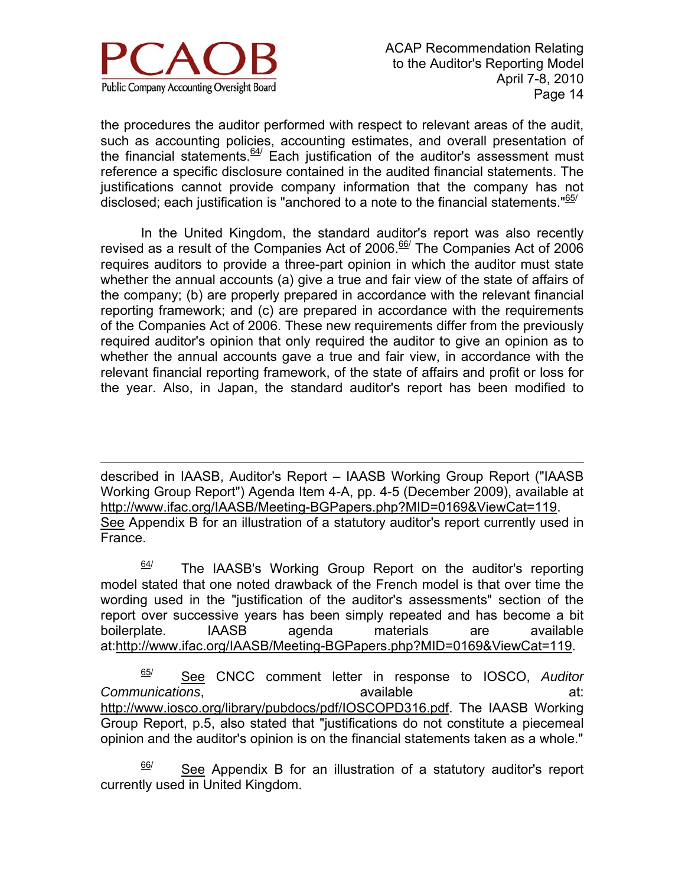

 $\overline{a}$ 

the procedures the auditor performed with respect to relevant areas of the audit, such as accounting policies, accounting estimates, and overall presentation of the financial statements. $64$  Each justification of the auditor's assessment must reference a specific disclosure contained in the audited financial statements. The justifications cannot provide company information that the company has not disclosed; each justification is "anchored to a note to the financial statements."<sup>65/</sup>

In the United Kingdom, the standard auditor's report was also recently revised as a result of the Companies Act of 2006. $66/$  The Companies Act of 2006 requires auditors to provide a three-part opinion in which the auditor must state whether the annual accounts (a) give a true and fair view of the state of affairs of the company; (b) are properly prepared in accordance with the relevant financial reporting framework; and (c) are prepared in accordance with the requirements of the Companies Act of 2006. These new requirements differ from the previously required auditor's opinion that only required the auditor to give an opinion as to whether the annual accounts gave a true and fair view, in accordance with the relevant financial reporting framework, of the state of affairs and profit or loss for the year. Also, in Japan, the standard auditor's report has been modified to

described in IAASB, Auditor's Report – IAASB Working Group Report ("IAASB Working Group Report") Agenda Item 4-A, pp. 4-5 (December 2009), available at http://www.ifac.org/IAASB/Meeting-BGPapers.php?MID=0169&ViewCat=119. See Appendix B for an illustration of a statutory auditor's report currently used in France.

64/ The IAASB's Working Group Report on the auditor's reporting model stated that one noted drawback of the French model is that over time the wording used in the "justification of the auditor's assessments" section of the report over successive years has been simply repeated and has become a bit boilerplate. IAASB agenda materials are available at:http://www.ifac.org/IAASB/Meeting-BGPapers.php?MID=0169&ViewCat=119.

65/ See CNCC comment letter in response to IOSCO, *Auditor*  **Communications, available at:** available at: http://www.iosco.org/library/pubdocs/pdf/IOSCOPD316.pdf. The IAASB Working Group Report, p.5, also stated that "justifications do not constitute a piecemeal opinion and the auditor's opinion is on the financial statements taken as a whole."

 $\frac{66}{}{ }$  See Appendix B for an illustration of a statutory auditor's report currently used in United Kingdom.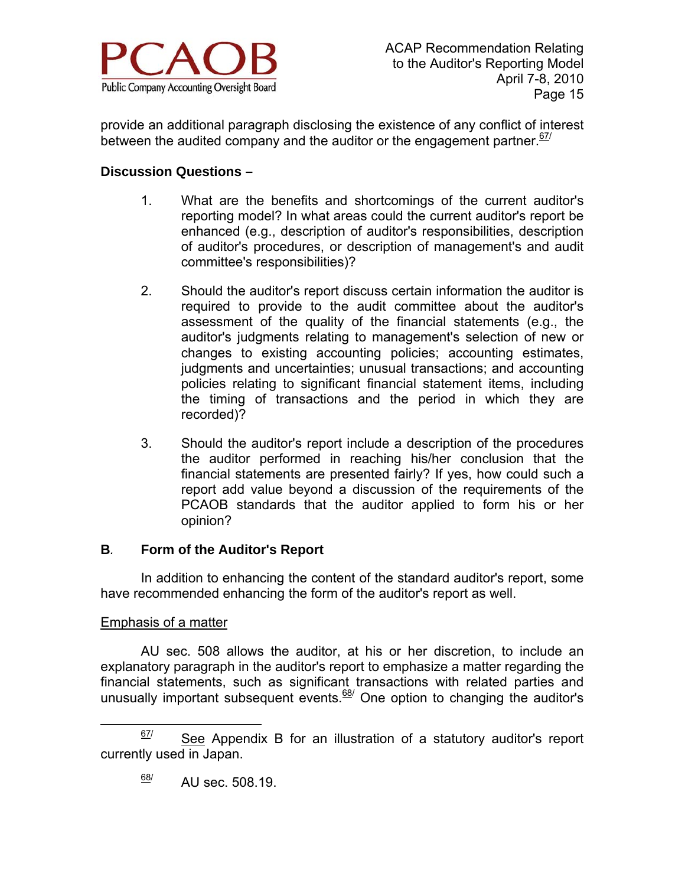

provide an additional paragraph disclosing the existence of any conflict of interest between the audited company and the auditor or the engagement partner.  $67/2$ 

#### **Discussion Questions –**

- 1. What are the benefits and shortcomings of the current auditor's reporting model? In what areas could the current auditor's report be enhanced (e.g., description of auditor's responsibilities, description of auditor's procedures, or description of management's and audit committee's responsibilities)?
- 2. Should the auditor's report discuss certain information the auditor is required to provide to the audit committee about the auditor's assessment of the quality of the financial statements (e.g., the auditor's judgments relating to management's selection of new or changes to existing accounting policies; accounting estimates, judgments and uncertainties; unusual transactions; and accounting policies relating to significant financial statement items, including the timing of transactions and the period in which they are recorded)?
- 3. Should the auditor's report include a description of the procedures the auditor performed in reaching his/her conclusion that the financial statements are presented fairly? If yes, how could such a report add value beyond a discussion of the requirements of the PCAOB standards that the auditor applied to form his or her opinion?

#### **B***.* **Form of the Auditor's Report**

In addition to enhancing the content of the standard auditor's report, some have recommended enhancing the form of the auditor's report as well.

#### Emphasis of a matter

AU sec. 508 allows the auditor, at his or her discretion, to include an explanatory paragraph in the auditor's report to emphasize a matter regarding the financial statements, such as significant transactions with related parties and unusually important subsequent events.<sup>68/</sup> One option to changing the auditor's

 $\frac{67}{}{ }$  See Appendix B for an illustration of a statutory auditor's report currently used in Japan.

<sup>68/</sup> AU sec. 508.19.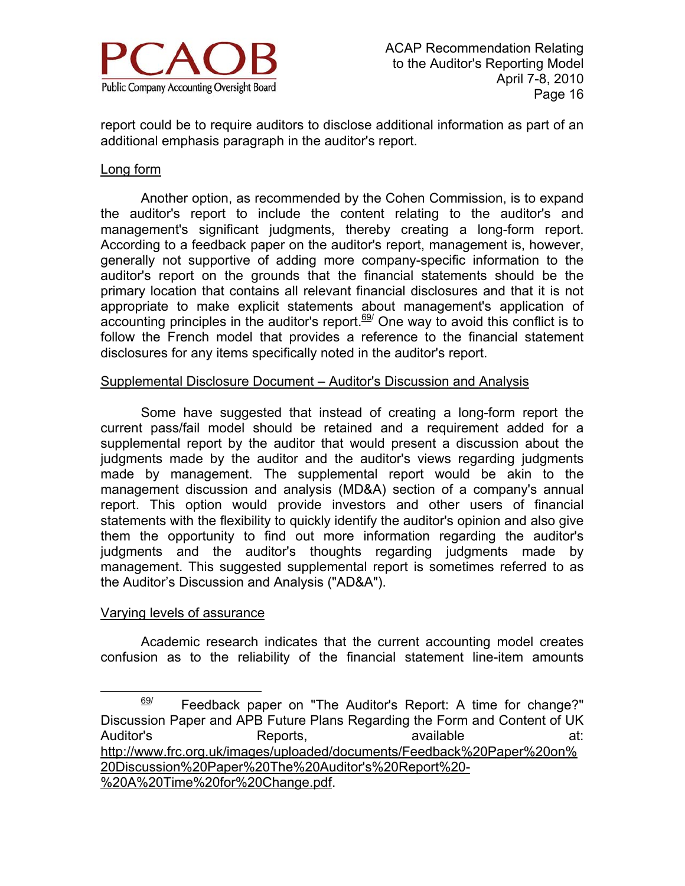

report could be to require auditors to disclose additional information as part of an additional emphasis paragraph in the auditor's report.

#### Long form

Another option, as recommended by the Cohen Commission, is to expand the auditor's report to include the content relating to the auditor's and management's significant judgments, thereby creating a long-form report. According to a feedback paper on the auditor's report, management is, however, generally not supportive of adding more company-specific information to the auditor's report on the grounds that the financial statements should be the primary location that contains all relevant financial disclosures and that it is not appropriate to make explicit statements about management's application of accounting principles in the auditor's report.  $69/$  One way to avoid this conflict is to follow the French model that provides a reference to the financial statement disclosures for any items specifically noted in the auditor's report.

#### Supplemental Disclosure Document – Auditor's Discussion and Analysis

Some have suggested that instead of creating a long-form report the current pass/fail model should be retained and a requirement added for a supplemental report by the auditor that would present a discussion about the judgments made by the auditor and the auditor's views regarding judgments made by management. The supplemental report would be akin to the management discussion and analysis (MD&A) section of a company's annual report. This option would provide investors and other users of financial statements with the flexibility to quickly identify the auditor's opinion and also give them the opportunity to find out more information regarding the auditor's judgments and the auditor's thoughts regarding judgments made by management. This suggested supplemental report is sometimes referred to as the Auditor's Discussion and Analysis ("AD&A").

#### Varying levels of assurance

Academic research indicates that the current accounting model creates confusion as to the reliability of the financial statement line-item amounts

 <sup>69/</sup> Feedback paper on "The Auditor's Report: A time for change?" Discussion Paper and APB Future Plans Regarding the Form and Content of UK Auditor's **Reports**, **Reports**, **available** at: http://www.frc.org.uk/images/uploaded/documents/Feedback%20Paper%20on% 20Discussion%20Paper%20The%20Auditor's%20Report%20- %20A%20Time%20for%20Change.pdf.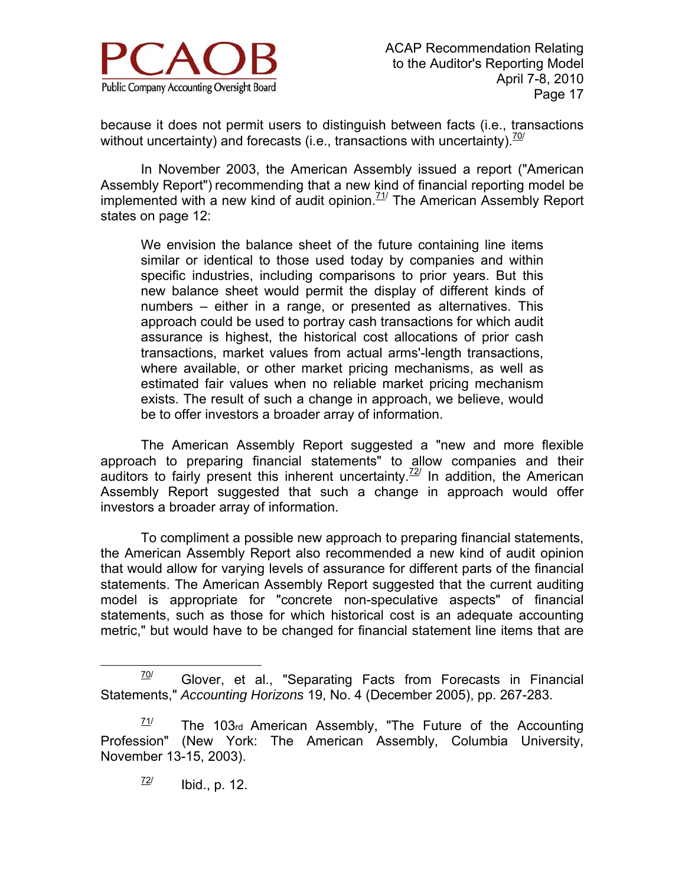

because it does not permit users to distinguish between facts (i.e., transactions without uncertainty) and forecasts (i.e., transactions with uncertainty).<sup>70/</sup>

In November 2003, the American Assembly issued a report ("American Assembly Report") recommending that a new kind of financial reporting model be implemented with a new kind of audit opinion. $71/2$  The American Assembly Report states on page 12:

We envision the balance sheet of the future containing line items similar or identical to those used today by companies and within specific industries, including comparisons to prior years. But this new balance sheet would permit the display of different kinds of numbers – either in a range, or presented as alternatives. This approach could be used to portray cash transactions for which audit assurance is highest, the historical cost allocations of prior cash transactions, market values from actual arms'-length transactions, where available, or other market pricing mechanisms, as well as estimated fair values when no reliable market pricing mechanism exists. The result of such a change in approach, we believe, would be to offer investors a broader array of information.

The American Assembly Report suggested a "new and more flexible approach to preparing financial statements" to allow companies and their auditors to fairly present this inherent uncertainty.<sup> $72/$ </sup> In addition, the American Assembly Report suggested that such a change in approach would offer investors a broader array of information.

To compliment a possible new approach to preparing financial statements, the American Assembly Report also recommended a new kind of audit opinion that would allow for varying levels of assurance for different parts of the financial statements. The American Assembly Report suggested that the current auditing model is appropriate for "concrete non-speculative aspects" of financial statements, such as those for which historical cost is an adequate accounting metric," but would have to be changed for financial statement line items that are

72/ Ibid., p. 12.

 <sup>70/</sup> Glover, et al., "Separating Facts from Forecasts in Financial Statements," *Accounting Horizons* 19, No. 4 (December 2005), pp. 267-283.

<sup>71/</sup> The 103rd American Assembly, "The Future of the Accounting Profession" (New York: The American Assembly, Columbia University, November 13-15, 2003).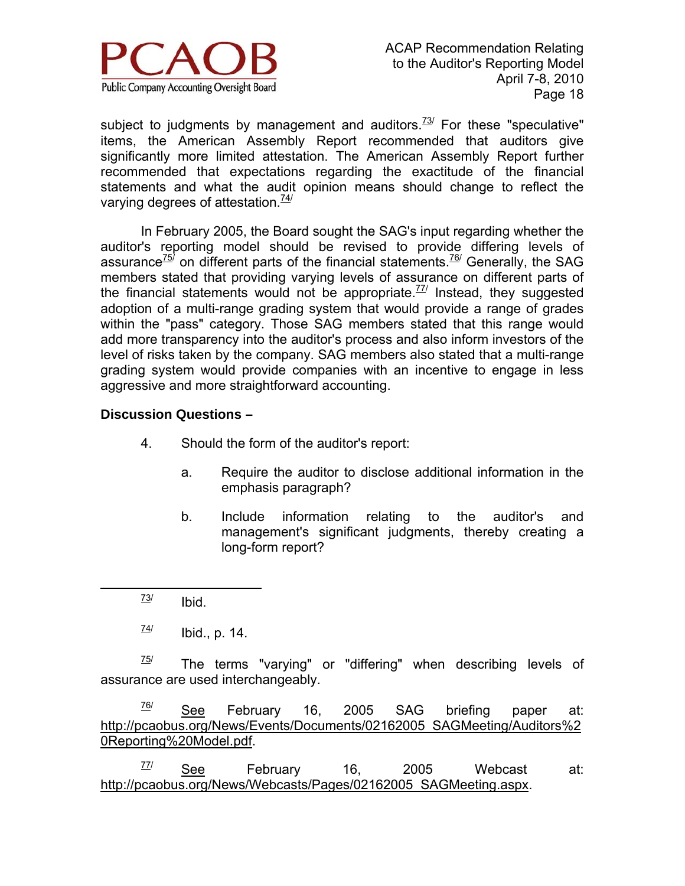

subject to judgments by management and auditors. $^{73/}$  For these "speculative" items, the American Assembly Report recommended that auditors give significantly more limited attestation. The American Assembly Report further recommended that expectations regarding the exactitude of the financial statements and what the audit opinion means should change to reflect the varying degrees of attestation.<sup>74/</sup>

In February 2005, the Board sought the SAG's input regarding whether the auditor's reporting model should be revised to provide differing levels of assurance $\frac{75}{10}$  on different parts of the financial statements.<sup>76/</sup> Generally, the SAG members stated that providing varying levels of assurance on different parts of the financial statements would not be appropriate. $77/7$  Instead, they suggested adoption of a multi-range grading system that would provide a range of grades within the "pass" category. Those SAG members stated that this range would add more transparency into the auditor's process and also inform investors of the level of risks taken by the company. SAG members also stated that a multi-range grading system would provide companies with an incentive to engage in less aggressive and more straightforward accounting.

#### **Discussion Questions –**

- 4. Should the form of the auditor's report:
	- a. Require the auditor to disclose additional information in the emphasis paragraph?
	- b. Include information relating to the auditor's and management's significant judgments, thereby creating a long-form report?

 73/ Ibid.

74/ Ibid., p. 14.

75/ The terms "varying" or "differing" when describing levels of assurance are used interchangeably.

76/ See February 16, 2005 SAG briefing paper at: http://pcaobus.org/News/Events/Documents/02162005\_SAGMeeting/Auditors%2 0Reporting%20Model.pdf.

77/ See February 16, 2005 Webcast at: http://pcaobus.org/News/Webcasts/Pages/02162005\_SAGMeeting.aspx.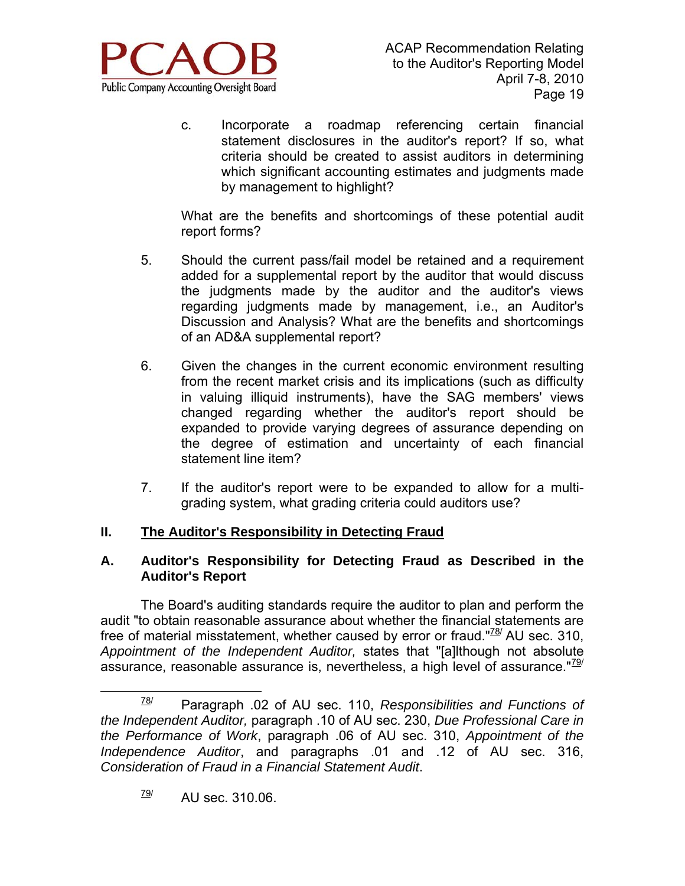

c. Incorporate a roadmap referencing certain financial statement disclosures in the auditor's report? If so, what criteria should be created to assist auditors in determining which significant accounting estimates and judgments made by management to highlight?

What are the benefits and shortcomings of these potential audit report forms?

- 5. Should the current pass/fail model be retained and a requirement added for a supplemental report by the auditor that would discuss the judgments made by the auditor and the auditor's views regarding judgments made by management, i.e., an Auditor's Discussion and Analysis? What are the benefits and shortcomings of an AD&A supplemental report?
- 6. Given the changes in the current economic environment resulting from the recent market crisis and its implications (such as difficulty in valuing illiquid instruments), have the SAG members' views changed regarding whether the auditor's report should be expanded to provide varying degrees of assurance depending on the degree of estimation and uncertainty of each financial statement line item?
- 7. If the auditor's report were to be expanded to allow for a multigrading system, what grading criteria could auditors use?

#### **II. The Auditor's Responsibility in Detecting Fraud**

#### **A. Auditor's Responsibility for Detecting Fraud as Described in the Auditor's Report**

 The Board's auditing standards require the auditor to plan and perform the audit "to obtain reasonable assurance about whether the financial statements are free of material misstatement, whether caused by error or fraud." $78/$  AU sec. 310, *Appointment of the Independent Auditor,* states that "[a]lthough not absolute assurance, reasonable assurance is, nevertheless, a high level of assurance." $\frac{79}{2}$ 

 <sup>78/</sup> Paragraph .02 of AU sec. 110, *Responsibilities and Functions of the Independent Auditor,* paragraph .10 of AU sec. 230, *Due Professional Care in the Performance of Work*, paragraph .06 of AU sec. 310, *Appointment of the Independence Auditor*, and paragraphs .01 and .12 of AU sec. 316, *Consideration of Fraud in a Financial Statement Audit*.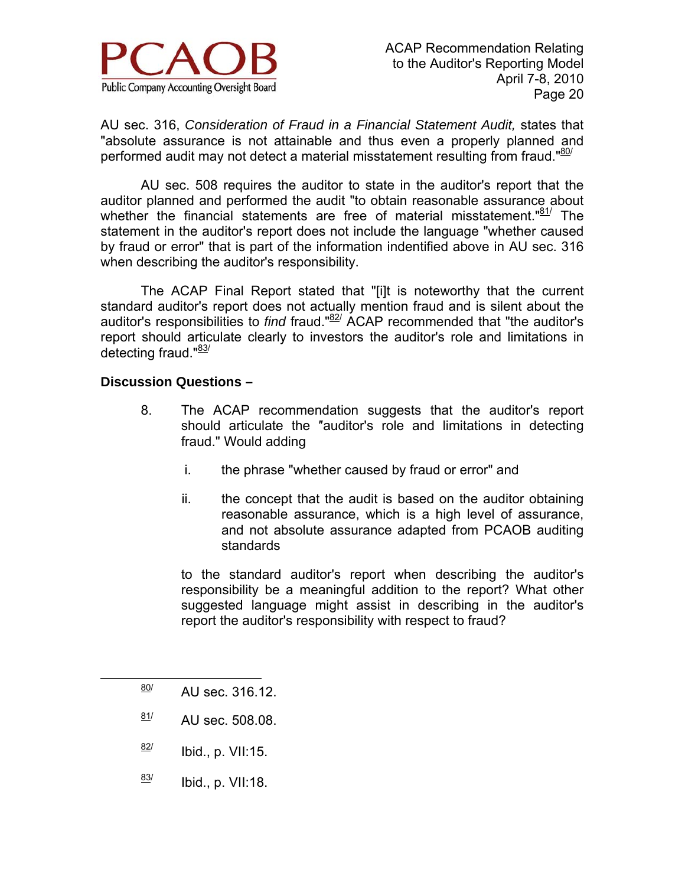

AU sec. 316, *Consideration of Fraud in a Financial Statement Audit,* states that "absolute assurance is not attainable and thus even a properly planned and performed audit may not detect a material misstatement resulting from fraud."<sup>80</sup>

AU sec. 508 requires the auditor to state in the auditor's report that the auditor planned and performed the audit "to obtain reasonable assurance about whether the financial statements are free of material misstatement."<sup>81/</sup> The statement in the auditor's report does not include the language "whether caused by fraud or error" that is part of the information indentified above in AU sec. 316 when describing the auditor's responsibility.

The ACAP Final Report stated that "[i]t is noteworthy that the current standard auditor's report does not actually mention fraud and is silent about the auditor's responsibilities to *find* fraud."<sup>82/</sup> ACAP recommended that "the auditor's report should articulate clearly to investors the auditor's role and limitations in detecting fraud."<sup>83/</sup>

#### **Discussion Questions –**

- 8. The ACAP recommendation suggests that the auditor's report should articulate the ″auditor's role and limitations in detecting fraud." Would adding
	- i. the phrase "whether caused by fraud or error" and
	- ii. the concept that the audit is based on the auditor obtaining reasonable assurance, which is a high level of assurance, and not absolute assurance adapted from PCAOB auditing standards

to the standard auditor's report when describing the auditor's responsibility be a meaningful addition to the report? What other suggested language might assist in describing in the auditor's report the auditor's responsibility with respect to fraud?

- 80/ AU sec. 316.12.
- 81/ AU sec. 508.08.
- 82/ Ibid., p. VII:15.
- 83/ Ibid., p. VII:18.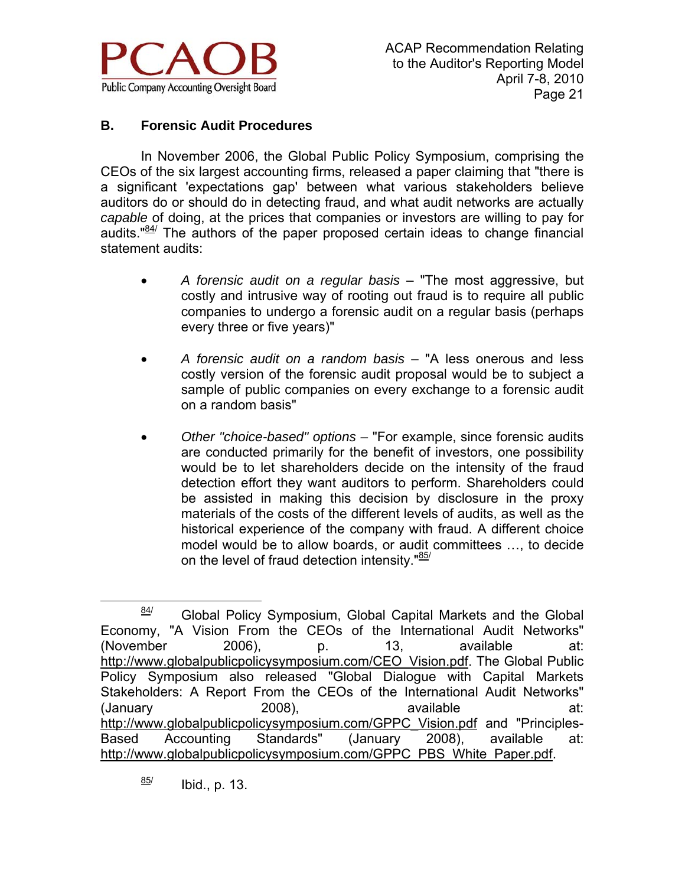

#### **B. Forensic Audit Procedures**

In November 2006, the Global Public Policy Symposium, comprising the CEOs of the six largest accounting firms, released a paper claiming that "there is a significant 'expectations gap' between what various stakeholders believe auditors do or should do in detecting fraud, and what audit networks are actually *capable* of doing, at the prices that companies or investors are willing to pay for audits."<sup>84/</sup> The authors of the paper proposed certain ideas to change financial statement audits:

- *A forensic audit on a regular basis*  "The most aggressive, but costly and intrusive way of rooting out fraud is to require all public companies to undergo a forensic audit on a regular basis (perhaps every three or five years)"
- *A forensic audit on a random basis*  "A less onerous and less costly version of the forensic audit proposal would be to subject a sample of public companies on every exchange to a forensic audit on a random basis"
- *Other "choice-based" options* "For example, since forensic audits are conducted primarily for the benefit of investors, one possibility would be to let shareholders decide on the intensity of the fraud detection effort they want auditors to perform. Shareholders could be assisted in making this decision by disclosure in the proxy materials of the costs of the different levels of audits, as well as the historical experience of the company with fraud. A different choice model would be to allow boards, or audit committees …, to decide on the level of fraud detection intensity." $85/$

 <sup>84/</sup> Global Policy Symposium, Global Capital Markets and the Global Economy, "A Vision From the CEOs of the International Audit Networks" (November 2006), p. 13, available at: http://www.globalpublicpolicysymposium.com/CEO\_Vision.pdf. The Global Public Policy Symposium also released "Global Dialogue with Capital Markets Stakeholders: A Report From the CEOs of the International Audit Networks" (January 2008), available at: http://www.globalpublicpolicysymposium.com/GPPC\_Vision.pdf and "Principles-Based Accounting Standards" (January 2008), available at: http://www.globalpublicpolicysymposium.com/GPPC\_PBS\_White\_Paper.pdf.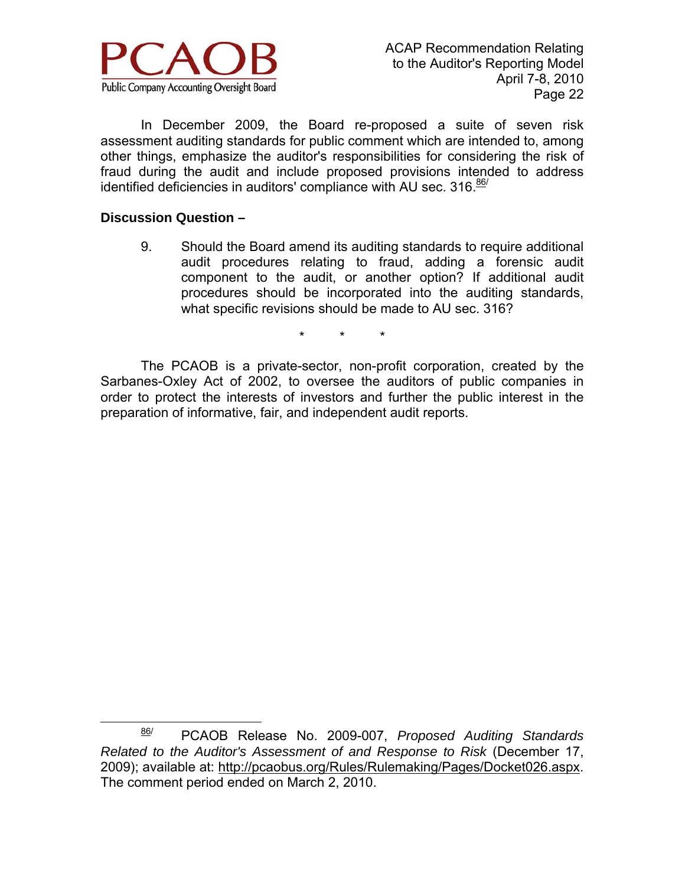

In December 2009, the Board re-proposed a suite of seven risk assessment auditing standards for public comment which are intended to, among other things, emphasize the auditor's responsibilities for considering the risk of fraud during the audit and include proposed provisions intended to address identified deficiencies in auditors' compliance with AU sec. 316. $86/$ 

#### **Discussion Question –**

9. Should the Board amend its auditing standards to require additional audit procedures relating to fraud, adding a forensic audit component to the audit, or another option? If additional audit procedures should be incorporated into the auditing standards, what specific revisions should be made to AU sec. 316?

\* \* \*

 The PCAOB is a private-sector, non-profit corporation, created by the Sarbanes-Oxley Act of 2002, to oversee the auditors of public companies in order to protect the interests of investors and further the public interest in the preparation of informative, fair, and independent audit reports.

 <sup>86/</sup> PCAOB Release No. 2009-007, *Proposed Auditing Standards Related to the Auditor's Assessment of and Response to Risk* (December 17, 2009); available at: http://pcaobus.org/Rules/Rulemaking/Pages/Docket026.aspx. The comment period ended on March 2, 2010.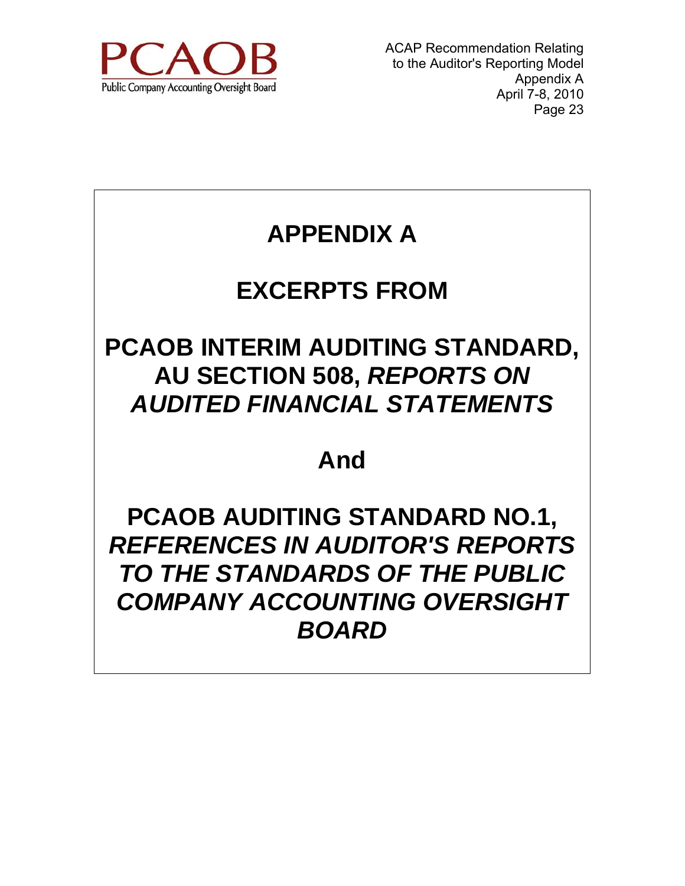

ACAP Recommendation Relating to the Auditor's Reporting Model Appendix A April 7-8, 2010 Page 23

# **APPENDIX A**

# **EXCERPTS FROM**

# **PCAOB INTERIM AUDITING STANDARD, AU SECTION 508,** *REPORTS ON AUDITED FINANCIAL STATEMENTS*

**And** 

**PCAOB AUDITING STANDARD NO.1,**  *REFERENCES IN AUDITOR'S REPORTS TO THE STANDARDS OF THE PUBLIC COMPANY ACCOUNTING OVERSIGHT BOARD*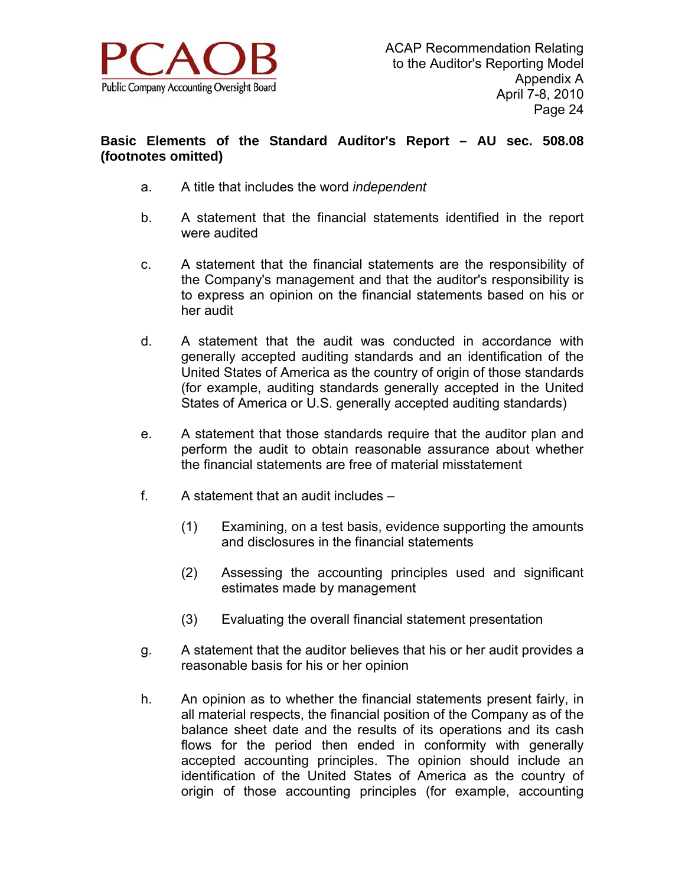

#### **Basic Elements of the Standard Auditor's Report – AU sec. 508.08 (footnotes omitted)**

- a. A title that includes the word *independent*
- b. A statement that the financial statements identified in the report were audited
- c. A statement that the financial statements are the responsibility of the Company's management and that the auditor's responsibility is to express an opinion on the financial statements based on his or her audit
- d. A statement that the audit was conducted in accordance with generally accepted auditing standards and an identification of the United States of America as the country of origin of those standards (for example, auditing standards generally accepted in the United States of America or U.S. generally accepted auditing standards)
- e. A statement that those standards require that the auditor plan and perform the audit to obtain reasonable assurance about whether the financial statements are free of material misstatement
- f. A statement that an audit includes
	- (1) Examining, on a test basis, evidence supporting the amounts and disclosures in the financial statements
	- (2) Assessing the accounting principles used and significant estimates made by management
	- (3) Evaluating the overall financial statement presentation
- g. A statement that the auditor believes that his or her audit provides a reasonable basis for his or her opinion
- h. An opinion as to whether the financial statements present fairly, in all material respects, the financial position of the Company as of the balance sheet date and the results of its operations and its cash flows for the period then ended in conformity with generally accepted accounting principles. The opinion should include an identification of the United States of America as the country of origin of those accounting principles (for example, accounting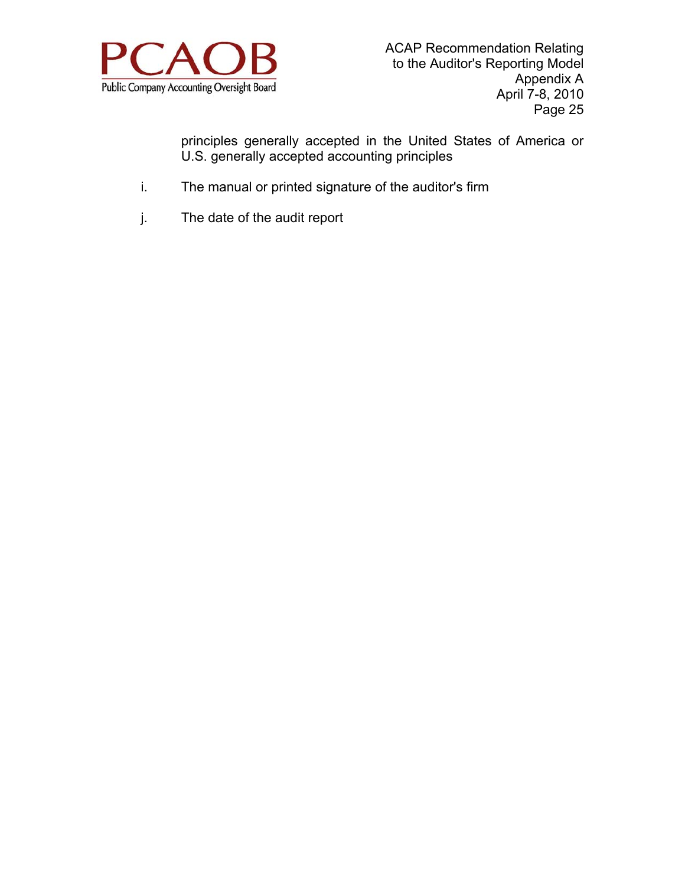

principles generally accepted in the United States of America or U.S. generally accepted accounting principles

- i. The manual or printed signature of the auditor's firm
- j. The date of the audit report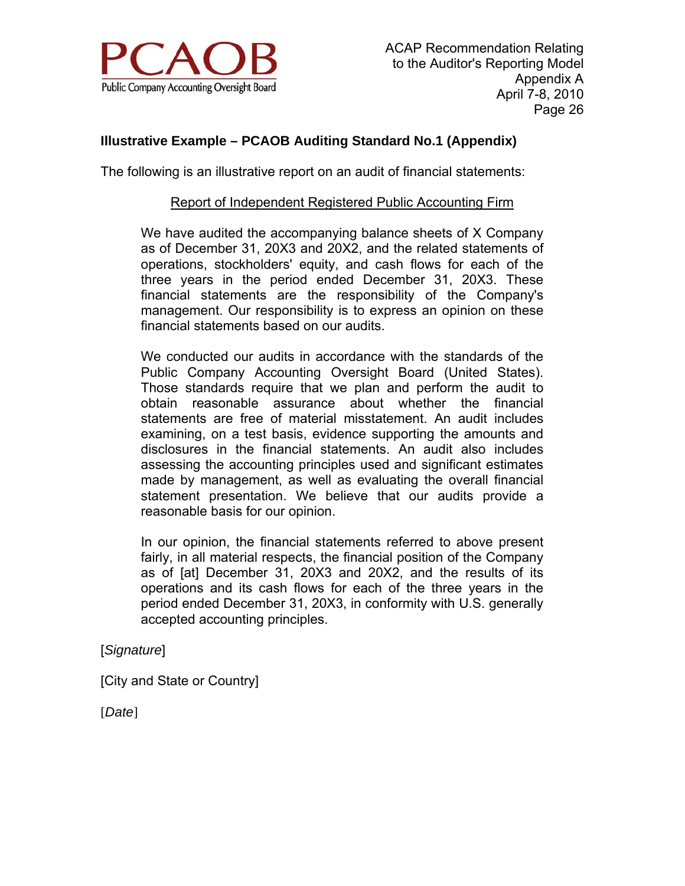

#### **Illustrative Example – PCAOB Auditing Standard No.1 (Appendix)**

The following is an illustrative report on an audit of financial statements:

#### Report of Independent Registered Public Accounting Firm

We have audited the accompanying balance sheets of X Company as of December 31, 20X3 and 20X2, and the related statements of operations, stockholders' equity, and cash flows for each of the three years in the period ended December 31, 20X3. These financial statements are the responsibility of the Company's management. Our responsibility is to express an opinion on these financial statements based on our audits.

We conducted our audits in accordance with the standards of the Public Company Accounting Oversight Board (United States). Those standards require that we plan and perform the audit to obtain reasonable assurance about whether the financial statements are free of material misstatement. An audit includes examining, on a test basis, evidence supporting the amounts and disclosures in the financial statements. An audit also includes assessing the accounting principles used and significant estimates made by management, as well as evaluating the overall financial statement presentation. We believe that our audits provide a reasonable basis for our opinion.

In our opinion, the financial statements referred to above present fairly, in all material respects, the financial position of the Company as of [at] December 31, 20X3 and 20X2, and the results of its operations and its cash flows for each of the three years in the period ended December 31, 20X3, in conformity with U.S. generally accepted accounting principles.

[*Signature*]

[City and State or Country]

[*Date*]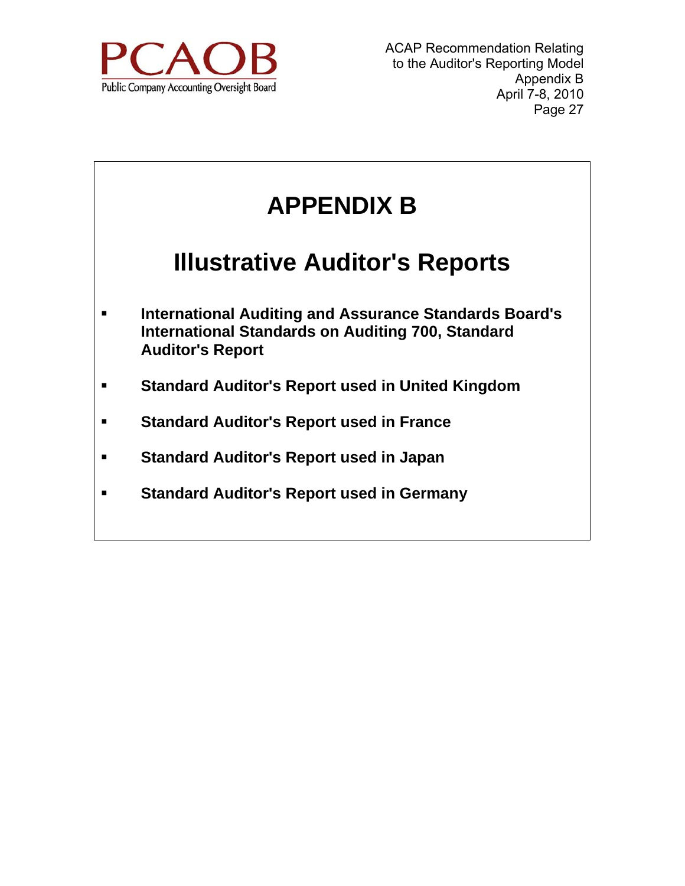

ACAP Recommendation Relating to the Auditor's Reporting Model Appendix B April 7-8, 2010 Page 27

# **APPENDIX B Illustrative Auditor's Reports International Auditing and Assurance Standards Board's International Standards on Auditing 700, Standard Auditor's Report Standard Auditor's Report used in United Kingdom Standard Auditor's Report used in France Standard Auditor's Report used in Japan Standard Auditor's Report used in Germany**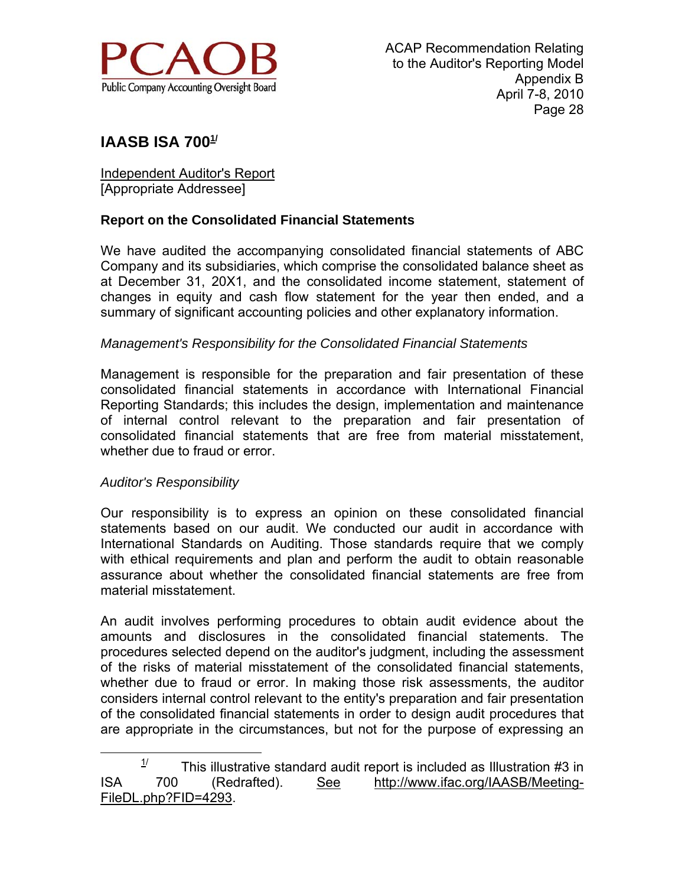

# **IAASB ISA 700<sup>1/</sup>**

Independent Auditor's Report [Appropriate Addressee]

#### **Report on the Consolidated Financial Statements**

We have audited the accompanying consolidated financial statements of ABC Company and its subsidiaries, which comprise the consolidated balance sheet as at December 31, 20X1, and the consolidated income statement, statement of changes in equity and cash flow statement for the year then ended, and a summary of significant accounting policies and other explanatory information.

#### *Management's Responsibility for the Consolidated Financial Statements*

Management is responsible for the preparation and fair presentation of these consolidated financial statements in accordance with International Financial Reporting Standards; this includes the design, implementation and maintenance of internal control relevant to the preparation and fair presentation of consolidated financial statements that are free from material misstatement, whether due to fraud or error.

#### *Auditor's Responsibility*

 $\overline{a}$ 

Our responsibility is to express an opinion on these consolidated financial statements based on our audit. We conducted our audit in accordance with International Standards on Auditing. Those standards require that we comply with ethical requirements and plan and perform the audit to obtain reasonable assurance about whether the consolidated financial statements are free from material misstatement.

An audit involves performing procedures to obtain audit evidence about the amounts and disclosures in the consolidated financial statements. The procedures selected depend on the auditor's judgment, including the assessment of the risks of material misstatement of the consolidated financial statements, whether due to fraud or error. In making those risk assessments, the auditor considers internal control relevant to the entity's preparation and fair presentation of the consolidated financial statements in order to design audit procedures that are appropriate in the circumstances, but not for the purpose of expressing an

 <sup>1/</sup> This illustrative standard audit report is included as Illustration #3 in ISA 700 (Redrafted). See http://www.ifac.org/IAASB/Meeting-FileDL.php?FID=4293.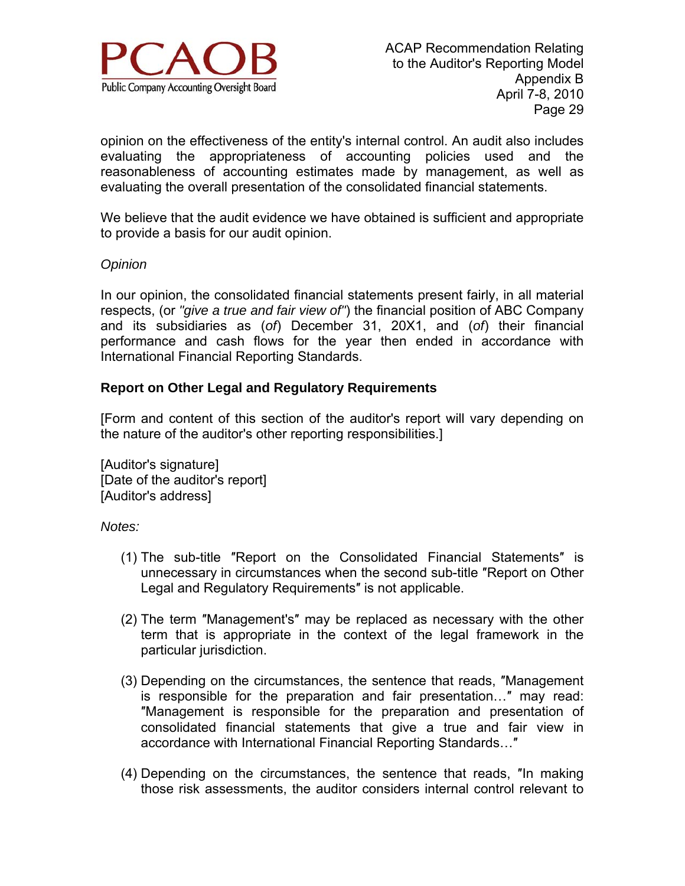

opinion on the effectiveness of the entity's internal control. An audit also includes evaluating the appropriateness of accounting policies used and the reasonableness of accounting estimates made by management, as well as evaluating the overall presentation of the consolidated financial statements.

We believe that the audit evidence we have obtained is sufficient and appropriate to provide a basis for our audit opinion.

#### *Opinion*

In our opinion, the consolidated financial statements present fairly, in all material respects, (or *"give a true and fair view of"*) the financial position of ABC Company and its subsidiaries as (*of*) December 31, 20X1, and (*of*) their financial performance and cash flows for the year then ended in accordance with International Financial Reporting Standards.

#### **Report on Other Legal and Regulatory Requirements**

[Form and content of this section of the auditor's report will vary depending on the nature of the auditor's other reporting responsibilities.]

[Auditor's signature] [Date of the auditor's report] [Auditor's address]

*Notes:* 

- (1) The sub-title ″Report on the Consolidated Financial Statements″ is unnecessary in circumstances when the second sub-title ″Report on Other Legal and Regulatory Requirements″ is not applicable.
- (2) The term ″Management's″ may be replaced as necessary with the other term that is appropriate in the context of the legal framework in the particular jurisdiction.
- (3) Depending on the circumstances, the sentence that reads, ″Management is responsible for the preparation and fair presentation…″ may read: ″Management is responsible for the preparation and presentation of consolidated financial statements that give a true and fair view in accordance with International Financial Reporting Standards…″
- (4) Depending on the circumstances, the sentence that reads, ″In making those risk assessments, the auditor considers internal control relevant to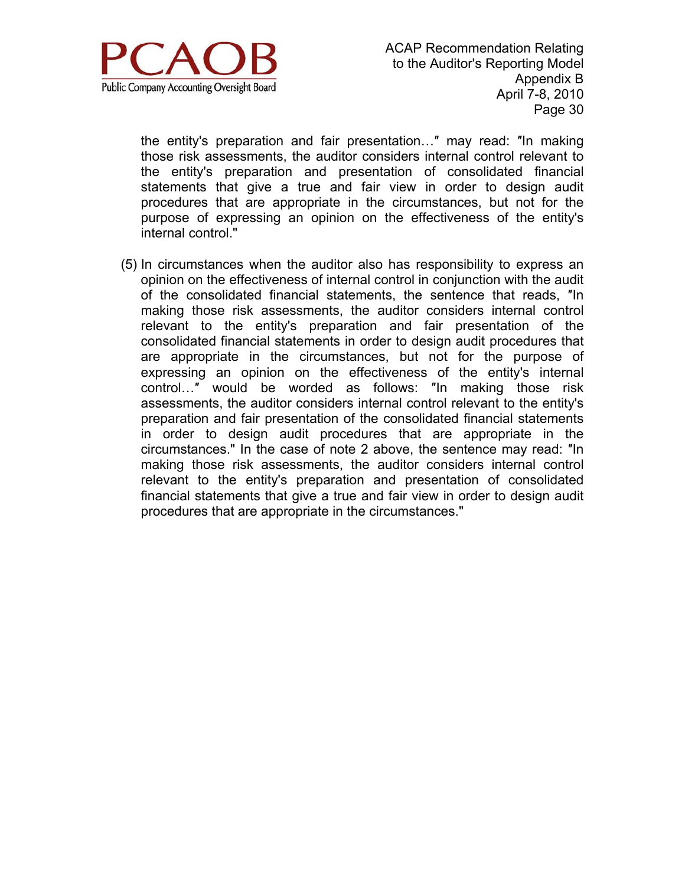

the entity's preparation and fair presentation…″ may read: ″In making those risk assessments, the auditor considers internal control relevant to the entity's preparation and presentation of consolidated financial statements that give a true and fair view in order to design audit procedures that are appropriate in the circumstances, but not for the purpose of expressing an opinion on the effectiveness of the entity's internal control."

(5) In circumstances when the auditor also has responsibility to express an opinion on the effectiveness of internal control in conjunction with the audit of the consolidated financial statements, the sentence that reads, ″In making those risk assessments, the auditor considers internal control relevant to the entity's preparation and fair presentation of the consolidated financial statements in order to design audit procedures that are appropriate in the circumstances, but not for the purpose of expressing an opinion on the effectiveness of the entity's internal control…″ would be worded as follows: ″In making those risk assessments, the auditor considers internal control relevant to the entity's preparation and fair presentation of the consolidated financial statements in order to design audit procedures that are appropriate in the circumstances." In the case of note 2 above, the sentence may read: ″In making those risk assessments, the auditor considers internal control relevant to the entity's preparation and presentation of consolidated financial statements that give a true and fair view in order to design audit procedures that are appropriate in the circumstances."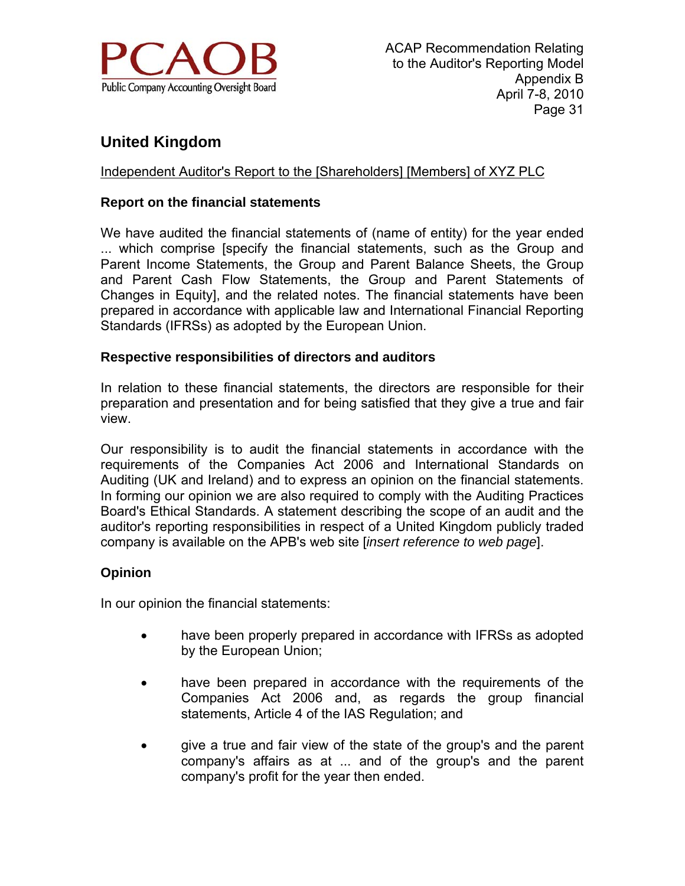

## **United Kingdom**

#### Independent Auditor's Report to the [Shareholders] [Members] of XYZ PLC

#### **Report on the financial statements**

We have audited the financial statements of (name of entity) for the year ended ... which comprise [specify the financial statements, such as the Group and Parent Income Statements, the Group and Parent Balance Sheets, the Group and Parent Cash Flow Statements, the Group and Parent Statements of Changes in Equity], and the related notes. The financial statements have been prepared in accordance with applicable law and International Financial Reporting Standards (IFRSs) as adopted by the European Union.

#### **Respective responsibilities of directors and auditors**

In relation to these financial statements, the directors are responsible for their preparation and presentation and for being satisfied that they give a true and fair view.

Our responsibility is to audit the financial statements in accordance with the requirements of the Companies Act 2006 and International Standards on Auditing (UK and Ireland) and to express an opinion on the financial statements. In forming our opinion we are also required to comply with the Auditing Practices Board's Ethical Standards. A statement describing the scope of an audit and the auditor's reporting responsibilities in respect of a United Kingdom publicly traded company is available on the APB's web site [*insert reference to web page*].

#### **Opinion**

In our opinion the financial statements:

- have been properly prepared in accordance with IFRSs as adopted by the European Union;
- have been prepared in accordance with the requirements of the Companies Act 2006 and, as regards the group financial statements, Article 4 of the IAS Regulation; and
- give a true and fair view of the state of the group's and the parent company's affairs as at ... and of the group's and the parent company's profit for the year then ended.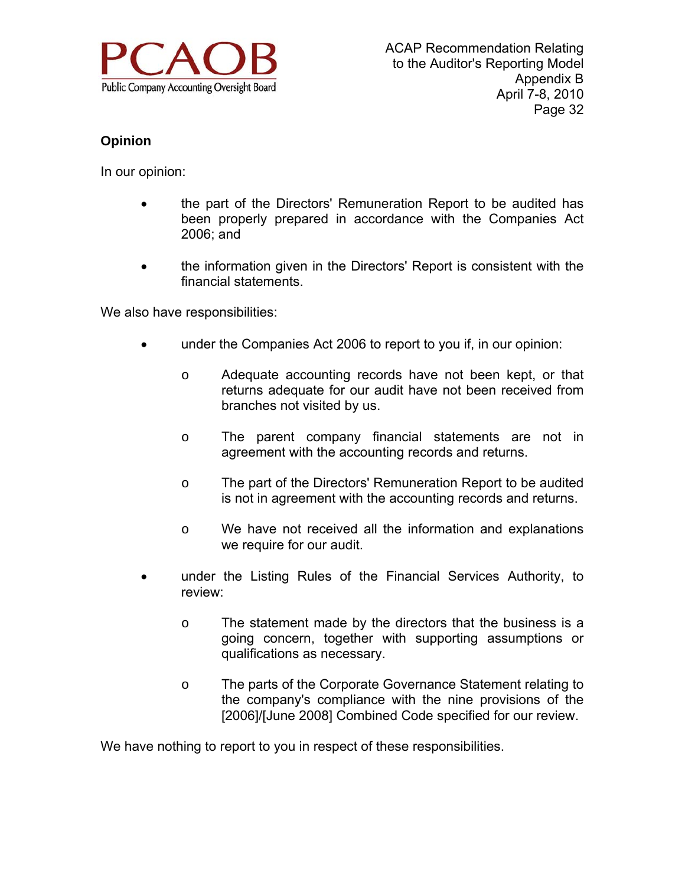

#### **Opinion**

In our opinion:

- the part of the Directors' Remuneration Report to be audited has been properly prepared in accordance with the Companies Act 2006; and
- the information given in the Directors' Report is consistent with the financial statements.

We also have responsibilities:

- under the Companies Act 2006 to report to you if, in our opinion:
	- o Adequate accounting records have not been kept, or that returns adequate for our audit have not been received from branches not visited by us.
	- o The parent company financial statements are not in agreement with the accounting records and returns.
	- o The part of the Directors' Remuneration Report to be audited is not in agreement with the accounting records and returns.
	- o We have not received all the information and explanations we require for our audit.
- under the Listing Rules of the Financial Services Authority, to review:
	- o The statement made by the directors that the business is a going concern, together with supporting assumptions or qualifications as necessary.
	- o The parts of the Corporate Governance Statement relating to the company's compliance with the nine provisions of the [2006]/[June 2008] Combined Code specified for our review.

We have nothing to report to you in respect of these responsibilities.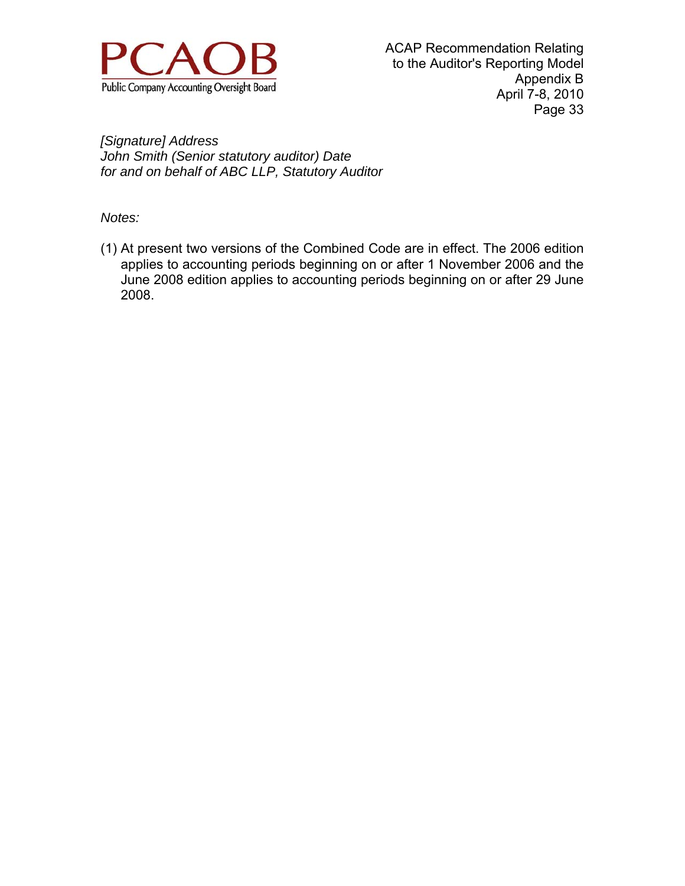

*[Signature] Address John Smith (Senior statutory auditor) Date for and on behalf of ABC LLP, Statutory Auditor* 

*Notes:* 

(1) At present two versions of the Combined Code are in effect. The 2006 edition applies to accounting periods beginning on or after 1 November 2006 and the June 2008 edition applies to accounting periods beginning on or after 29 June 2008.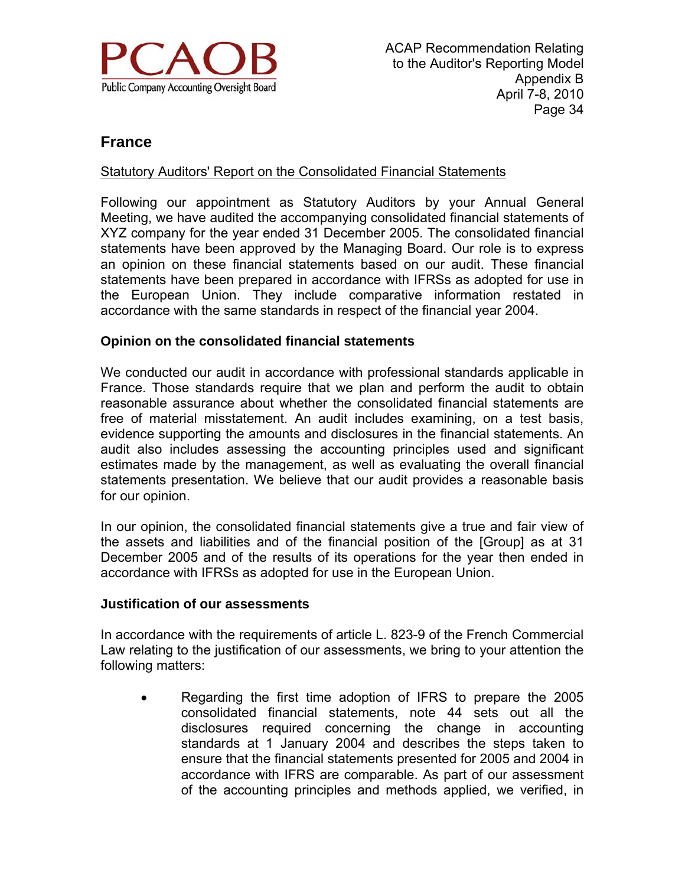

## **France**

#### Statutory Auditors' Report on the Consolidated Financial Statements

Following our appointment as Statutory Auditors by your Annual General Meeting, we have audited the accompanying consolidated financial statements of XYZ company for the year ended 31 December 2005. The consolidated financial statements have been approved by the Managing Board. Our role is to express an opinion on these financial statements based on our audit. These financial statements have been prepared in accordance with IFRSs as adopted for use in the European Union. They include comparative information restated in accordance with the same standards in respect of the financial year 2004.

#### **Opinion on the consolidated financial statements**

We conducted our audit in accordance with professional standards applicable in France. Those standards require that we plan and perform the audit to obtain reasonable assurance about whether the consolidated financial statements are free of material misstatement. An audit includes examining, on a test basis, evidence supporting the amounts and disclosures in the financial statements. An audit also includes assessing the accounting principles used and significant estimates made by the management, as well as evaluating the overall financial statements presentation. We believe that our audit provides a reasonable basis for our opinion.

In our opinion, the consolidated financial statements give a true and fair view of the assets and liabilities and of the financial position of the [Group] as at 31 December 2005 and of the results of its operations for the year then ended in accordance with IFRSs as adopted for use in the European Union.

#### **Justification of our assessments**

In accordance with the requirements of article L. 823-9 of the French Commercial Law relating to the justification of our assessments, we bring to your attention the following matters:

• Regarding the first time adoption of IFRS to prepare the 2005 consolidated financial statements, note 44 sets out all the disclosures required concerning the change in accounting standards at 1 January 2004 and describes the steps taken to ensure that the financial statements presented for 2005 and 2004 in accordance with IFRS are comparable. As part of our assessment of the accounting principles and methods applied, we verified, in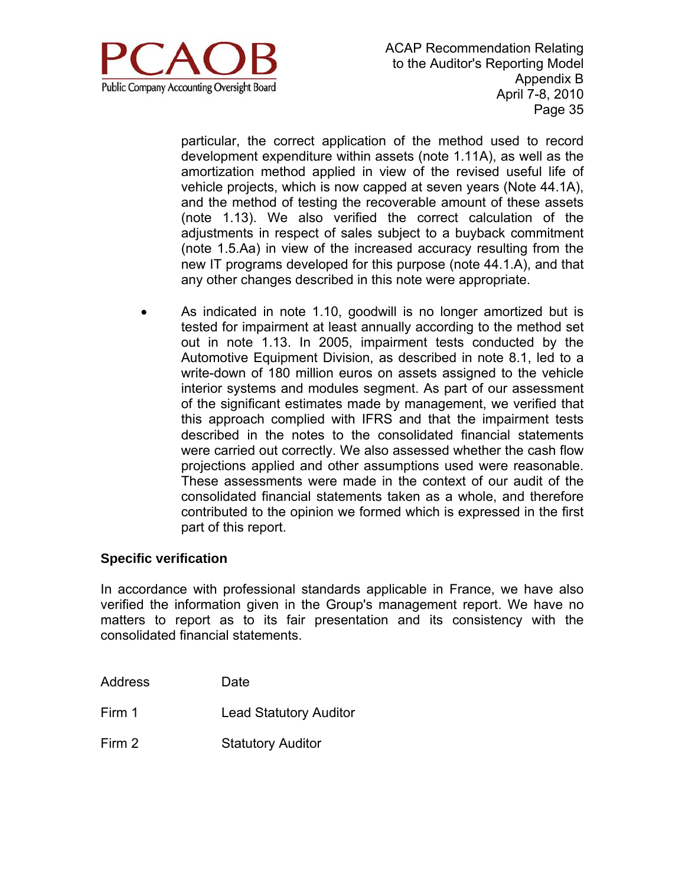

particular, the correct application of the method used to record development expenditure within assets (note 1.11A), as well as the amortization method applied in view of the revised useful life of vehicle projects, which is now capped at seven years (Note 44.1A), and the method of testing the recoverable amount of these assets (note 1.13). We also verified the correct calculation of the adjustments in respect of sales subject to a buyback commitment (note 1.5.Aa) in view of the increased accuracy resulting from the new IT programs developed for this purpose (note 44.1.A), and that any other changes described in this note were appropriate.

As indicated in note 1.10, goodwill is no longer amortized but is tested for impairment at least annually according to the method set out in note 1.13. In 2005, impairment tests conducted by the Automotive Equipment Division, as described in note 8.1, led to a write-down of 180 million euros on assets assigned to the vehicle interior systems and modules segment. As part of our assessment of the significant estimates made by management, we verified that this approach complied with IFRS and that the impairment tests described in the notes to the consolidated financial statements were carried out correctly. We also assessed whether the cash flow projections applied and other assumptions used were reasonable. These assessments were made in the context of our audit of the consolidated financial statements taken as a whole, and therefore contributed to the opinion we formed which is expressed in the first part of this report.

#### **Specific verification**

In accordance with professional standards applicable in France, we have also verified the information given in the Group's management report. We have no matters to report as to its fair presentation and its consistency with the consolidated financial statements.

| <b>Address</b> | Date                          |
|----------------|-------------------------------|
| Firm 1         | <b>Lead Statutory Auditor</b> |
| Firm 2         | <b>Statutory Auditor</b>      |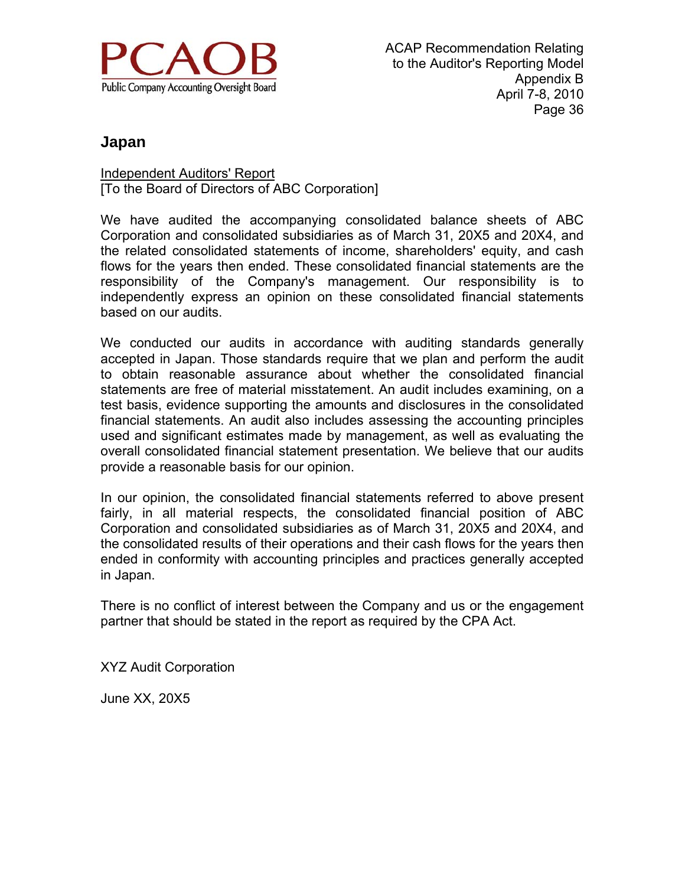

### **Japan**

Independent Auditors' Report [To the Board of Directors of ABC Corporation]

We have audited the accompanying consolidated balance sheets of ABC Corporation and consolidated subsidiaries as of March 31, 20X5 and 20X4, and the related consolidated statements of income, shareholders' equity, and cash flows for the years then ended. These consolidated financial statements are the responsibility of the Company's management. Our responsibility is to independently express an opinion on these consolidated financial statements based on our audits.

We conducted our audits in accordance with auditing standards generally accepted in Japan. Those standards require that we plan and perform the audit to obtain reasonable assurance about whether the consolidated financial statements are free of material misstatement. An audit includes examining, on a test basis, evidence supporting the amounts and disclosures in the consolidated financial statements. An audit also includes assessing the accounting principles used and significant estimates made by management, as well as evaluating the overall consolidated financial statement presentation. We believe that our audits provide a reasonable basis for our opinion.

In our opinion, the consolidated financial statements referred to above present fairly, in all material respects, the consolidated financial position of ABC Corporation and consolidated subsidiaries as of March 31, 20X5 and 20X4, and the consolidated results of their operations and their cash flows for the years then ended in conformity with accounting principles and practices generally accepted in Japan.

There is no conflict of interest between the Company and us or the engagement partner that should be stated in the report as required by the CPA Act.

XYZ Audit Corporation

June XX, 20X5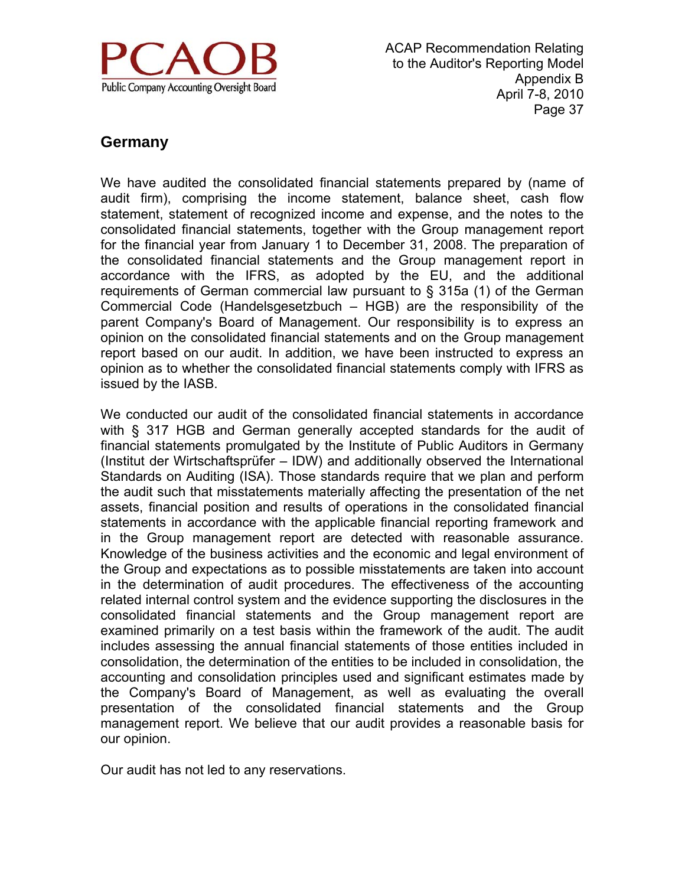

## **Germany**

We have audited the consolidated financial statements prepared by (name of audit firm), comprising the income statement, balance sheet, cash flow statement, statement of recognized income and expense, and the notes to the consolidated financial statements, together with the Group management report for the financial year from January 1 to December 31, 2008. The preparation of the consolidated financial statements and the Group management report in accordance with the IFRS, as adopted by the EU, and the additional requirements of German commercial law pursuant to § 315a (1) of the German Commercial Code (Handelsgesetzbuch – HGB) are the responsibility of the parent Company's Board of Management. Our responsibility is to express an opinion on the consolidated financial statements and on the Group management report based on our audit. In addition, we have been instructed to express an opinion as to whether the consolidated financial statements comply with IFRS as issued by the IASB.

We conducted our audit of the consolidated financial statements in accordance with § 317 HGB and German generally accepted standards for the audit of financial statements promulgated by the Institute of Public Auditors in Germany (Institut der Wirtschaftsprüfer – IDW) and additionally observed the International Standards on Auditing (ISA). Those standards require that we plan and perform the audit such that misstatements materially affecting the presentation of the net assets, financial position and results of operations in the consolidated financial statements in accordance with the applicable financial reporting framework and in the Group management report are detected with reasonable assurance. Knowledge of the business activities and the economic and legal environment of the Group and expectations as to possible misstatements are taken into account in the determination of audit procedures. The effectiveness of the accounting related internal control system and the evidence supporting the disclosures in the consolidated financial statements and the Group management report are examined primarily on a test basis within the framework of the audit. The audit includes assessing the annual financial statements of those entities included in consolidation, the determination of the entities to be included in consolidation, the accounting and consolidation principles used and significant estimates made by the Company's Board of Management, as well as evaluating the overall presentation of the consolidated financial statements and the Group management report. We believe that our audit provides a reasonable basis for our opinion.

Our audit has not led to any reservations.